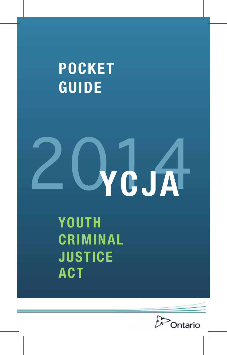**POCKET GUIDE**



**YOUTH CRIMINAL JUSTICE ACT**

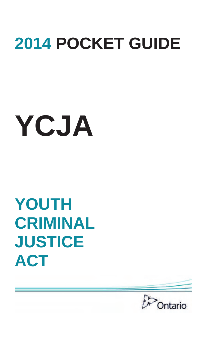## **2014 POCKET GUIDE**

# **YCJA**

## **YOUTH CRIMINAL JUSTICE ACT**

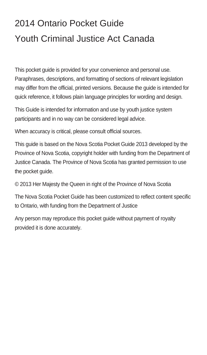### 2014 Ontario Pocket Guide Youth Criminal Justice Act Canada

This pocket guide is provided for your convenience and personal use. Paraphrases, descriptions, and formatting of sections of relevant legislation may differ from the official, printed versions. Because the guide is intended for quick reference, it follows plain language principles for wording and design.

This Guide is intended for information and use by youth justice system participants and in no way can be considered legal advice.

When accuracy is critical, please consult official sources.

This guide is based on the Nova Scotia Pocket Guide 2013 developed by the Province of Nova Scotia, copyright holder with funding from the Department of Justice Canada. The Province of Nova Scotia has granted permission to use the pocket quide.

© 2013 Her Majesty the Queen in right of the Province of Nova Scotia

The Nova Scotia Pocket Guide has been customized to reflect content specific to Ontario, with funding from the Department of Justice

Any person may reproduce this pocket guide without payment of royalty provided it is done accurately.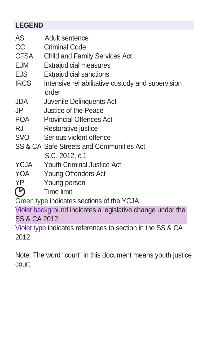#### **LEGEND**

- AS Adult sentence
- CC Criminal Code
- CFSA Child and Family Services Act
- EJM Extrajudicial measures
- EJS Extrajudicial sanctions
- IRCS Intensive rehabilitative custody and supervision order
- JDA Juvenile Delinquents Act
- JP Justice of the Peace
- POA Provincial Offences Act
- RJ Restorative justice
- SVO Serious violent offence
- SS & CA Safe Streets and Communities Act S.C. 2012, c.1
- YCJA Youth Criminal Justice Act
- YOA Young Offenders Act
- $\overline{P}$  Young person<br> $\overline{P}$  Time limit
- Time limit

Green type indicates sections of the YCJA.

Violet background indicates a legislative change under the SS & CA 2012.

Violet type indicates references to section in the SS & CA 2012.

Note: The word "court" in this document means youth justice court.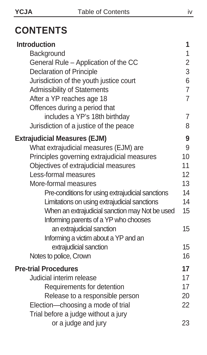### **CONTENTS**

| Introduction                                     | 1              |
|--------------------------------------------------|----------------|
| Background                                       | 1              |
| General Rule – Application of the CC             | 2              |
| Declaration of Principle                         | 3              |
| Jurisdiction of the youth justice court          | 6              |
| Admissibility of Statements                      | $\overline{7}$ |
| After a YP reaches age 18                        | $\overline{7}$ |
| Offences during a period that                    |                |
| includes a YP's 18th birthday                    | 7              |
| Jurisdiction of a justice of the peace           | 8              |
| <b>Extrajudicial Measures (EJM)</b>              | 9              |
| What extrajudicial measures (EJM) are            | 9              |
| Principles governing extrajudicial measures      | 10             |
| Objectives of extrajudicial measures             | 11             |
| Less-formal measures                             | 12             |
| More-formal measures                             | 13             |
| Pre-conditions for using extrajudicial sanctions | 14             |
| Limitations on using extrajudicial sanctions     | 14             |
| When an extrajudicial sanction may Not be used   | 15             |
| Informing parents of a YP who chooses            |                |
| an extrajudicial sanction                        | 15             |
| Informing a victim about a YP and an             |                |
| extrajudicial sanction                           | 15             |
| Notes to police, Crown                           | 16             |
| <b>Pre-trial Procedures</b>                      | 17             |
| Judicial interim release                         | 17             |
| Requirements for detention                       | 17             |
| Release to a responsible person                  | 20             |
| Election-choosing a mode of trial                | 22             |
| Trial before a judge without a jury              |                |
| or a judge and jury                              | 23             |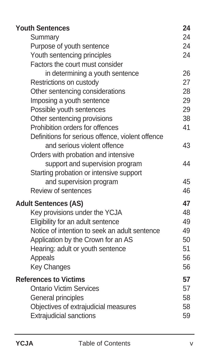| <b>Youth Sentences</b>                           | 24 |
|--------------------------------------------------|----|
| Summary                                          | 24 |
| Purpose of youth sentence                        | 24 |
| Youth sentencing principles                      | 24 |
| Factors the court must consider                  |    |
| in determining a youth sentence                  | 26 |
| Restrictions on custody                          | 27 |
| Other sentencing considerations                  | 28 |
| Imposing a youth sentence                        | 29 |
| Possible youth sentences                         | 29 |
| Other sentencing provisions                      | 38 |
| Prohibition orders for offences                  | 41 |
| Definitions for serious offence, violent offence |    |
| and serious violent offence                      | 43 |
| Orders with probation and intensive              |    |
| support and supervision program                  | 44 |
| Starting probation or intensive support          |    |
| and supervision program                          | 45 |
| Review of sentences                              | 46 |
| <b>Adult Sentences (AS)</b>                      | 47 |
| Key provisions under the YCJA                    | 48 |
| Eligibility for an adult sentence                | 49 |
| Notice of intention to seek an adult sentence    | 49 |
| Application by the Crown for an AS               | 50 |
| Hearing: adult or youth sentence                 | 51 |
| Appeals                                          | 56 |
| <b>Key Changes</b>                               | 56 |
| <b>References to Victims</b>                     | 57 |
| <b>Ontario Victim Services</b>                   | 57 |
| General principles                               | 58 |
| Objectives of extrajudicial measures             | 58 |
| <b>Extrajudicial sanctions</b>                   | 59 |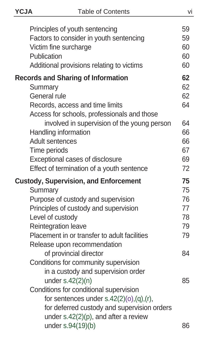| ٠<br>I<br>×<br>×<br>۰.<br>۰. |  |
|------------------------------|--|
|------------------------------|--|

| Principles of youth sentencing                               | 59 |
|--------------------------------------------------------------|----|
| Factors to consider in youth sentencing                      | 59 |
| Victim fine surcharge                                        | 60 |
| Publication                                                  | 60 |
| Additional provisions relating to victims                    | 60 |
| <b>Records and Sharing of Information</b>                    | 62 |
| Summary                                                      | 62 |
| General rule                                                 | 62 |
| Records, access and time limits                              | 64 |
| Access for schools, professionals and those                  |    |
| involved in supervision of the young person                  | 64 |
| Handling information                                         | 66 |
| Adult sentences                                              | 66 |
| Time periods                                                 | 67 |
| Exceptional cases of disclosure                              | 69 |
| Effect of termination of a youth sentence                    | 72 |
| <b>Custody, Supervision, and Enforcement</b>                 | 75 |
| Summary                                                      | 75 |
| Purpose of custody and supervision                           | 76 |
| Principles of custody and supervision                        | 77 |
| Level of custody                                             | 78 |
| Reintegration leave                                          | 79 |
| Placement in or transfer to adult facilities                 | 79 |
| Release upon recommendation                                  |    |
| of provincial director                                       | 84 |
| Conditions for community supervision                         |    |
| in a custody and supervision order                           |    |
| under $s.42(2)(n)$                                           | 85 |
| Conditions for conditional supervision                       |    |
| for sentences under $s.42(2)(o), (q), (r),$                  |    |
| for deferred custody and supervision orders                  |    |
| under $s.42(2)(p)$ , and after a review<br>under s.94(19)(b) | 86 |
|                                                              |    |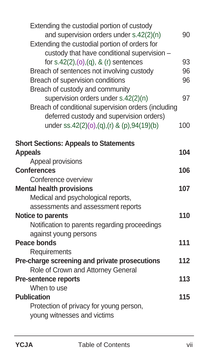| Extending the custodial portion of custody<br>and supervision orders under s.42(2)(n)<br>Extending the custodial portion of orders for<br>custody that have conditional supervision - | 90  |
|---------------------------------------------------------------------------------------------------------------------------------------------------------------------------------------|-----|
| for $s.42(2), (o), (q), 8$ (r) sentences                                                                                                                                              | 93  |
| Breach of sentences not involving custody                                                                                                                                             | 96  |
| Breach of supervision conditions                                                                                                                                                      | 96  |
| Breach of custody and community                                                                                                                                                       |     |
| supervision orders under s.42(2)(n)                                                                                                                                                   | 97  |
| Breach of conditional supervision orders (including                                                                                                                                   |     |
| deferred custody and supervision orders)                                                                                                                                              |     |
| under ss.42(2)(0),(q),(r) & (p),94(19)(b)                                                                                                                                             | 100 |
|                                                                                                                                                                                       |     |
| <b>Short Sections: Appeals to Statements</b>                                                                                                                                          |     |
| <b>Appeals</b>                                                                                                                                                                        | 104 |
| Appeal provisions                                                                                                                                                                     |     |
| <b>Conferences</b>                                                                                                                                                                    | 106 |
| Conference overview                                                                                                                                                                   |     |
| <b>Mental health provisions</b>                                                                                                                                                       | 107 |
| Medical and psychological reports,                                                                                                                                                    |     |
| assessments and assessment reports                                                                                                                                                    |     |
| Notice to parents                                                                                                                                                                     | 110 |
| Notification to parents regarding proceedings                                                                                                                                         |     |
| against young persons                                                                                                                                                                 |     |
| Peace bonds                                                                                                                                                                           | 111 |
| Requirements                                                                                                                                                                          |     |
| Pre-charge screening and private prosecutions                                                                                                                                         | 112 |
| Role of Crown and Attorney General                                                                                                                                                    |     |
| <b>Pre-sentence reports</b>                                                                                                                                                           | 113 |
| When to use                                                                                                                                                                           |     |
| <b>Publication</b>                                                                                                                                                                    | 115 |
| Protection of privacy for young person,                                                                                                                                               |     |
| young witnesses and victims                                                                                                                                                           |     |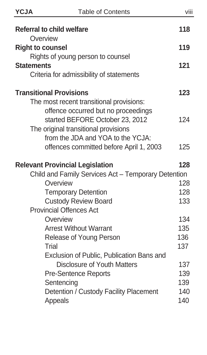| ٠<br>I<br>×<br>. . |
|--------------------|
|--------------------|

| <b>Referral to child welfare</b>                    | 118 |
|-----------------------------------------------------|-----|
| Overview                                            |     |
| <b>Right to counsel</b>                             | 119 |
| Rights of young person to counsel                   |     |
| <b>Statements</b>                                   | 121 |
| Criteria for admissibility of statements            |     |
| <b>Transitional Provisions</b>                      | 123 |
| The most recent transitional provisions:            |     |
| offence occurred but no proceedings                 |     |
| started BEFORE October 23, 2012                     | 124 |
| The original transitional provisions                |     |
| from the JDA and YOA to the YCJA:                   |     |
| offences committed before April 1, 2003             | 125 |
| <b>Relevant Provincial Legislation</b>              | 128 |
| Child and Family Services Act - Temporary Detention |     |
| Overview                                            | 128 |
| <b>Temporary Detention</b>                          | 128 |
| Custody Review Board                                | 133 |
| <b>Provincial Offences Act</b>                      |     |
| Overview                                            | 134 |
| <b>Arrest Without Warrant</b>                       | 135 |
| Release of Young Person                             | 136 |
| Trial                                               | 137 |
| Exclusion of Public, Publication Bans and           |     |
| Disclosure of Youth Matters                         | 137 |
| <b>Pre-Sentence Reports</b>                         | 139 |
| Sentencing                                          | 139 |
| Detention / Custody Facility Placement              | 140 |
| Appeals                                             | 140 |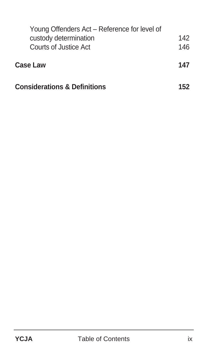| Young Offenders Act – Reference for level of |     |
|----------------------------------------------|-----|
| custody determination                        | 142 |
| Courts of Justice Act                        | 146 |
| Case Law                                     | 147 |
| <b>Considerations &amp; Definitions</b>      | 152 |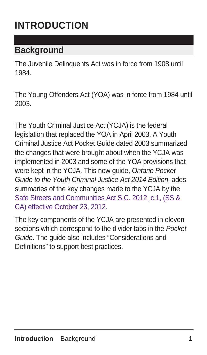### **INTRODUCTION**

#### **Background**

The Juvenile Delinquents Act was in force from 1908 until 1984.

The Young Offenders Act (YOA) was in force from 1984 until 2003.

The Youth Criminal Justice Act (YCJA) is the federal legislation that replaced the YOA in April 2003. A Youth Criminal Justice Act Pocket Guide dated 2003 summarized the changes that were brought about when the YCJA was implemented in 2003 and some of the YOA provisions that were kept in the YCJA. This new guide, Ontario Pocket Guide to the Youth Criminal Justice Act 2014 Edition, adds summaries of the key changes made to the YCJA by the Safe Streets and Communities Act S.C. 2012, c.1, (SS & CA) effective October 23, 2012.

The key components of the YCJA are presented in eleven sections which correspond to the divider tabs in the Pocket Guide. The guide also includes "Considerations and Definitions" to support best practices.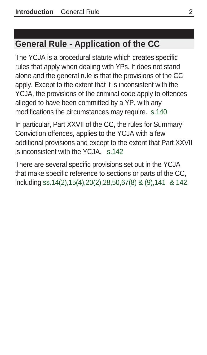#### **General Rule - Application of the CC**

The YCJA is a procedural statute which creates specific rules that apply when dealing with YPs. It does not stand alone and the general rule is that the provisions of the CC apply. Except to the extent that it is inconsistent with the YCJA, the provisions of the criminal code apply to offences alleged to have been committed by a YP, with any modifications the circumstances may require. s.140

In particular, Part XXVII of the CC, the rules for Summary Conviction offences, applies to the YCJA with a few additional provisions and except to the extent that Part XXVII is inconsistent with the YCJA. s.142

There are several specific provisions set out in the YCJA that make specific reference to sections or parts of the CC, including ss.14(2),15(4),20(2),28,50,67(8) & (9),141 & 142.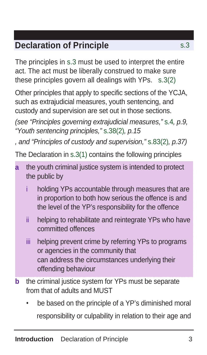#### **Declaration of Principle** s.3

The principles in s.3 must be used to interpret the entire act. The act must be liberally construed to make sure these principles govern all dealings with YPs. s.3(2)

Other principles that apply to specific sections of the YCJA, such as extrajudicial measures, youth sentencing, and custody and supervision are set out in those sections.

(see "Principles governing extrajudicial measures," s.4, p.9, "Youth sentencing principles," s.38(2), p.15

, and "Principles of custody and supervision," s.83(2), p.37)

The Declaration in s.3(1) contains the following principles

- **a** the youth criminal justice system is intended to protect the public by
	- i holding YPs accountable through measures that are in proportion to both how serious the offence is and the level of the YP's responsibility for the offence
	- ii helping to rehabilitate and reintegrate YPs who have committed offences
	- iii helping prevent crime by referring YPs to programs or agencies in the community that can address the circumstances underlying their offending behaviour
- **b** the criminal justice system for YPs must be separate from that of adults and MUST
	- be based on the principle of a YP's diminished moral responsibility or culpability in relation to their age and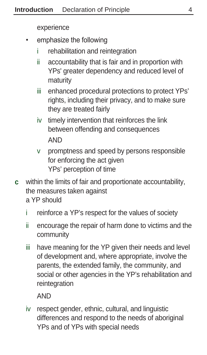experience

- emphasize the following
	- i rehabilitation and reintegration
	- ii accountability that is fair and in proportion with YPs' greater dependency and reduced level of maturity
	- iii enhanced procedural protections to protect YPs' rights, including their privacy, and to make sure they are treated fairly
	- iv timely intervention that reinforces the link between offending and consequences AND
	- v promptness and speed by persons responsible for enforcing the act given YPs' perception of time
- **c** within the limits of fair and proportionate accountability, the measures taken against

a YP should

- i reinforce a YP's respect for the values of society
- ii encourage the repair of harm done to victims and the community
- iii have meaning for the YP given their needs and level of development and, where appropriate, involve the parents, the extended family, the community, and social or other agencies in the YP's rehabilitation and reintegration

AND

iv respect gender, ethnic, cultural, and linguistic differences and respond to the needs of aboriginal YPs and of YPs with special needs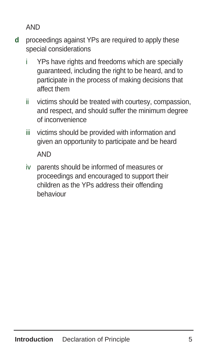AND

- **d** proceedings against YPs are required to apply these special considerations
	- i YPs have rights and freedoms which are specially guaranteed, including the right to be heard, and to participate in the process of making decisions that affect them
	- ii victims should be treated with courtesy, compassion, and respect, and should suffer the minimum degree of inconvenience
	- iii victims should be provided with information and given an opportunity to participate and be heard **AND**
	- iv parents should be informed of measures or proceedings and encouraged to support their children as the YPs address their offending behaviour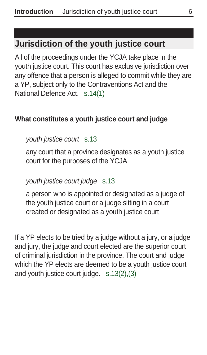#### **Jurisdiction of the youth justice court**

All of the proceedings under the YCJA take place in the youth justice court. This court has exclusive jurisdiction over any offence that a person is alleged to commit while they are a YP, subject only to the Contraventions Act and the National Defence Act. s.14(1)

#### **What constitutes a youth justice court and judge**

#### youth justice court s.13

 any court that a province designates as a youth justice court for the purposes of the YCJA

#### youth justice court judge s.13

 a person who is appointed or designated as a judge of the youth justice court or a judge sitting in a court created or designated as a youth justice court

If a YP elects to be tried by a judge without a jury, or a judge and jury, the judge and court elected are the superior court of criminal jurisdiction in the province. The court and judge which the YP elects are deemed to be a youth justice court and youth justice court judge. s.13(2),(3)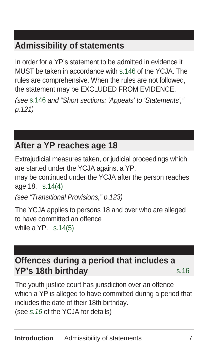#### **Admissibility of statements**

In order for a YP's statement to be admitted in evidence it MUST be taken in accordance with s.146 of the YCJA. The rules are comprehensive. When the rules are not followed, the statement may be EXCLUDED FROM EVIDENCE.

(see s.146 and "Short sections: 'Appeals' to 'Statements'," p.121)

#### **After a YP reaches age 18**

Extrajudicial measures taken, or judicial proceedings which are started under the YCJA against a YP,

may be continued under the YCJA after the person reaches age 18. s.14(4)

(see "Transitional Provisions," p.123)

The YCJA applies to persons 18 and over who are alleged to have committed an offence while a YP. s.14(5)

#### **Offences during a period that includes a YP's 18th birthday** s.16

The youth justice court has jurisdiction over an offence which a YP is alleged to have committed during a period that includes the date of their 18th birthday. (see s.16 of the YCJA for details)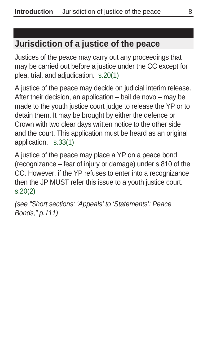#### **Jurisdiction of a justice of the peace**

Justices of the peace may carry out any proceedings that may be carried out before a justice under the CC except for plea, trial, and adjudication. s.20(1)

A justice of the peace may decide on judicial interim release. After their decision, an application – bail de novo – may be made to the youth justice court judge to release the YP or to detain them. It may be brought by either the defence or Crown with two clear days written notice to the other side and the court. This application must be heard as an original application. s.33(1)

A justice of the peace may place a YP on a peace bond (recognizance – fear of injury or damage) under s.810 of the CC. However, if the YP refuses to enter into a recognizance then the JP MUST refer this issue to a youth justice court. s.20(2)

(see "Short sections: 'Appeals' to 'Statements': Peace Bonds," p.111)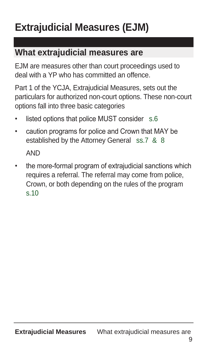## **Extrajudicial Measures (EJM)**

#### **What extrajudicial measures are**

EJM are measures other than court proceedings used to deal with a YP who has committed an offence.

Part 1 of the YCJA, Extrajudicial Measures, sets out the particulars for authorized non-court options. These non-court options fall into three basic categories

- listed options that police MUST consider s.6
- caution programs for police and Crown that MAY be established by the Attorney General ss.7 & 8

AND

• the more-formal program of extrajudicial sanctions which requires a referral. The referral may come from police, Crown, or both depending on the rules of the program s.10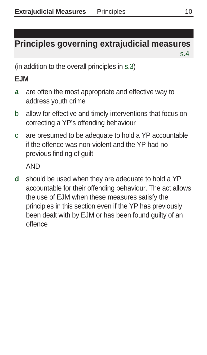#### **Principles governing extrajudicial measures s.4 s.4 s.4 s.4 s.4 s.4**

(in addition to the overall principles in s.3)

#### **EJM**

- **a** are often the most appropriate and effective way to address youth crime
- b allow for effective and timely interventions that focus on correcting a YP's offending behaviour
- c are presumed to be adequate to hold a YP accountable if the offence was non-violent and the YP had no previous finding of guilt

AND

**d** should be used when they are adequate to hold a YP accountable for their offending behaviour. The act allows the use of EJM when these measures satisfy the principles in this section even if the YP has previously been dealt with by EJM or has been found guilty of an offence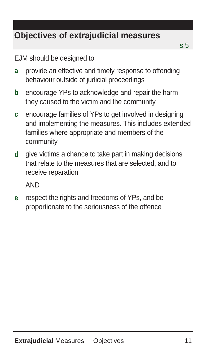### **Objectives of extrajudicial measures**

EJM should be designed to

- **a** provide an effective and timely response to offending behaviour outside of judicial proceedings
- **b** encourage YPs to acknowledge and repair the harm they caused to the victim and the community
- **c** encourage families of YPs to get involved in designing and implementing the measures. This includes extended families where appropriate and members of the community
- **d** give victims a chance to take part in making decisions that relate to the measures that are selected, and to receive reparation

AND

**e** respect the rights and freedoms of YPs, and be proportionate to the seriousness of the offence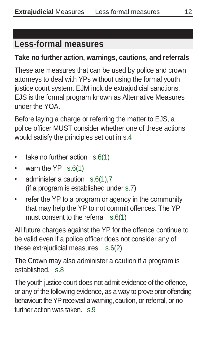#### **Less-formal measures**

#### **Take no further action, warnings, cautions, and referrals**

These are measures that can be used by police and crown attorneys to deal with YPs without using the formal youth justice court system. EJM include extrajudicial sanctions. EJS is the formal program known as Alternative Measures under the YOA.

Before laying a charge or referring the matter to EJS, a police officer MUST consider whether one of these actions would satisfy the principles set out in s.4

- take no further action s.6(1)
- warn the YP s.6(1)
- administer a caution s.6(1),7 (if a program is established under s.7)
- refer the YP to a program or agency in the community that may help the YP to not commit offences. The YP must consent to the referral s.6(1)

All future charges against the YP for the offence continue to be valid even if a police officer does not consider any of these extrajudicial measures. s.6(2)

The Crown may also administer a caution if a program is established. s.8

The youth justice court does not admit evidence of the offence, or any of the following evidence, as a way to prove prior offending behaviour: the YP received a warning, caution, or referral, or no further action was taken. s.9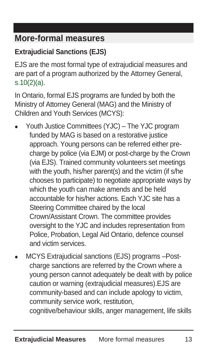#### **More-formal measures**

#### **Extrajudicial Sanctions (EJS)**

EJS are the most formal type of extrajudicial measures and are part of a program authorized by the Attorney General, s.10(2)(a).

In Ontario, formal EJS programs are funded by both the Ministry of Attorney General (MAG) and the Ministry of Children and Youth Services (MCYS):

- Youth Justice Committees (YJC) The YJC program funded by MAG is based on a restorative justice approach. Young persons can be referred either precharge by police (via EJM) or post-charge by the Crown (via EJS). Trained community volunteers set meetings with the youth, his/her parent(s) and the victim (if s/he chooses to participate) to negotiate appropriate ways by which the youth can make amends and be held accountable for his/her actions. Each YJC site has a Steering Committee chaired by the local Crown/Assistant Crown. The committee provides oversight to the YJC and includes representation from Police, Probation, Legal Aid Ontario, defence counsel and victim services.
- MCYS Extrajudicial sanctions (EJS) programs –Postcharge sanctions are referred by the Crown where a young person cannot adequately be dealt with by police caution or warning (extrajudicial measures).EJS are community-based and can include apology to victim, community service work, restitution,

cognitive/behaviour skills, anger management, life skills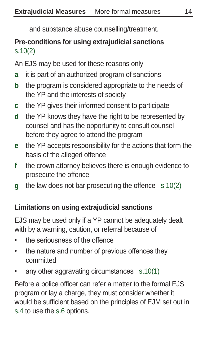and substance abuse counselling/treatment.

#### **Pre-conditions for using extrajudicial sanctions**  s.10(2)

An EJS may be used for these reasons only

- **a** it is part of an authorized program of sanctions
- **b** the program is considered appropriate to the needs of the YP and the interests of society
- **c** the YP gives their informed consent to participate
- **d** the YP knows they have the right to be represented by counsel and has the opportunity to consult counsel before they agree to attend the program
- **e** the YP accepts responsibility for the actions that form the basis of the alleged offence
- **f** the crown attorney believes there is enough evidence to prosecute the offence
- **g** the law does not bar prosecuting the offence s.10(2)

#### **Limitations on using extrajudicial sanctions**

EJS may be used only if a YP cannot be adequately dealt with by a warning, caution, or referral because of

- the seriousness of the offence
- the nature and number of previous offences they committed
- any other aggravating circumstances s.10(1)

Before a police officer can refer a matter to the formal EJS program or lay a charge, they must consider whether it would be sufficient based on the principles of EJM set out in s.4 to use the s.6 options.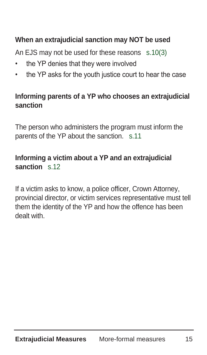#### **When an extrajudicial sanction may NOT be used**

An EJS may not be used for these reasons s.10(3)

- the YP denies that they were involved
- the YP asks for the youth justice court to hear the case

#### **Informing parents of a YP who chooses an extrajudicial sanction**

The person who administers the program must inform the parents of the YP about the sanction. s.11

#### **Informing a victim about a YP and an extrajudicial sanction** s.12

If a victim asks to know, a police officer, Crown Attorney, provincial director, or victim services representative must tell them the identity of the YP and how the offence has been dealt with.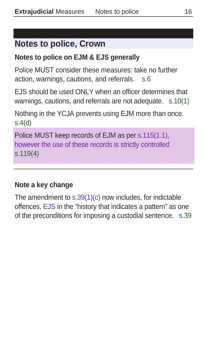#### **Notes to police, Crown**

#### **Notes to police on EJM & EJS generally**

Police MUST consider these measures: take no further action, warnings, cautions, and referrals. s.6

EJS should be used ONLY when an officer determines that warnings, cautions, and referrals are not adequate. s.10(1)

Nothing in the YCJA prevents using EJM more than once. s.4(d)

Police MUST keep records of EJM as per s.115(1.1), however the use of these records is strictly controlled s.119(4)

#### **Note a key change**

The amendment to s.39(1)(c) now includes, for indictable offences, EJS in the "history that indicates a pattern" as one of the preconditions for imposing a custodial sentence. s.39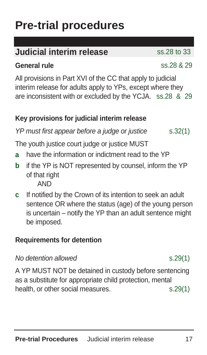## **Pre-trial procedures**

#### **Judicial interim release** ss.28 to 33

#### **General rule** and **General rule ssential contract of the state of the state of the state of the state of the state of the state of the state of the state of the state of the state of the state of the state of the state**

All provisions in Part XVI of the CC that apply to judicial interim release for adults apply to YPs, except where they are inconsistent with or excluded by the YCJA. ss.28 & 29

#### **Key provisions for judicial interim release**

 $YP$  must first appear before a judge or justice  $S.32(1)$ 

The youth justice court judge or justice MUST

- **a** have the information or indictment read to the YP
- **b** if the YP is NOT represented by counsel, inform the YP of that right AND
- **c** If notified by the Crown of its intention to seek an adult sentence OR where the status (age) of the young person is uncertain – notify the YP than an adult sentence might be imposed.

#### **Requirements for detention**

#### No detention allowed s.29(1)

A YP MUST NOT be detained in custody before sentencing as a substitute for appropriate child protection, mental health, or other social measures. s.29(1)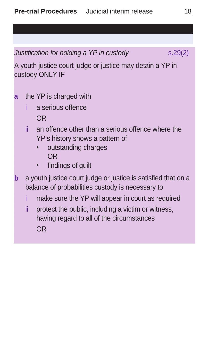Justification for holding a YP in custody s.29(2)

A youth justice court judge or justice may detain a YP in custody ONLY IF

- **a** the YP is charged with
	- i a serious offence OR
	- ii an offence other than a serious offence where the YP's history shows a pattern of
		- outstanding charges OR
		- findings of guilt
- **b** a youth justice court judge or justice is satisfied that on a balance of probabilities custody is necessary to
	- i make sure the YP will appear in court as required
	- ii protect the public, including a victim or witness, having regard to all of the circumstances OR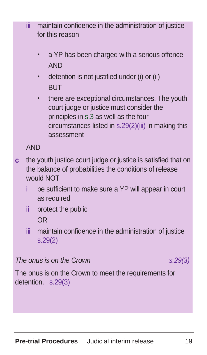- The onus is on the Crown  $s.29(3)$
- The onus is on the Crown to meet the requirements for detention. s.29(3)

iii maintain confidence in the administration of justice for this reason

- a YP has been charged with a serious offence **AND**
- detention is not justified under (i) or (ii) **BUT**
- there are exceptional circumstances. The youth court judge or justice must consider the principles in s.3 as well as the four circumstances listed in s.29(2)(iii) in making this assessment

AND

- **c** the youth justice court judge or justice is satisfied that on the balance of probabilities the conditions of release would NOT
	- be sufficient to make sure a YP will appear in court as required
	- ii protect the public OR
	- iii maintain confidence in the administration of justice s.29(2)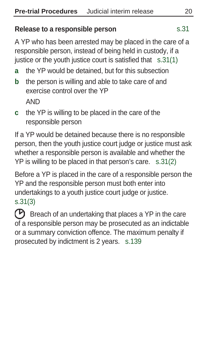#### **Release to a responsible person** s.31

A YP who has been arrested may be placed in the care of a responsible person, instead of being held in custody, if a justice or the youth justice court is satisfied that s.31(1)

- **a** the YP would be detained, but for this subsection
- **b** the person is willing and able to take care of and exercise control over the YP AND
- **c** the YP is willing to be placed in the care of the responsible person

If a YP would be detained because there is no responsible person, then the youth justice court judge or justice must ask whether a responsible person is available and whether the YP is willing to be placed in that person's care. s.31(2)

Before a YP is placed in the care of a responsible person the YP and the responsible person must both enter into undertakings to a youth justice court judge or justice. s.31(3)

 $\circled{P}$  Breach of an undertaking that places a YP in the care of a responsible person may be prosecuted as an indictable or a summary conviction offence. The maximum penalty if prosecuted by indictment is 2 years. s.139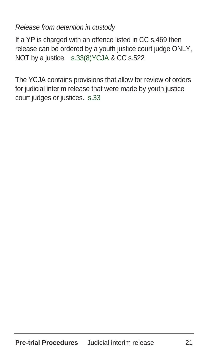Release from detention in custody

If a YP is charged with an offence listed in CC s.469 then release can be ordered by a youth justice court judge ONLY, NOT by a justice. s.33(8)YCJA & CC s.522

The YCJA contains provisions that allow for review of orders for judicial interim release that were made by youth justice court judges or justices. s.33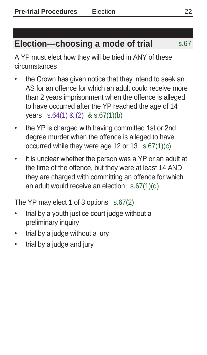### **Election—choosing a mode of trial** s.67

A YP must elect how they will be tried in ANY of these circumstances

- the Crown has given notice that they intend to seek an AS for an offence for which an adult could receive more than 2 years imprisonment when the offence is alleged to have occurred after the YP reached the age of 14 years s.64(1) & (2) & s.67(1)(b)
- the YP is charged with having committed 1st or 2nd degree murder when the offence is alleged to have occurred while they were age 12 or 13 s.67(1)(c)
- it is unclear whether the person was a YP or an adult at the time of the offence, but they were at least 14 AND they are charged with committing an offence for which an adult would receive an election s.67(1)(d)

The YP may elect 1 of 3 options s.67(2)

- trial by a youth justice court judge without a preliminary inquiry
- trial by a judge without a jury
- trial by a judge and jury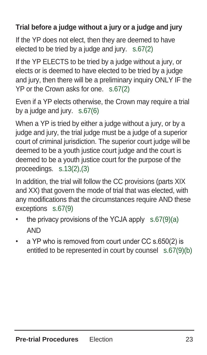#### **Trial before a judge without a jury or a judge and jury**

If the YP does not elect, then they are deemed to have elected to be tried by a judge and jury. s.67(2)

If the YP ELECTS to be tried by a judge without a jury, or elects or is deemed to have elected to be tried by a judge and jury, then there will be a preliminary inquiry ONLY IF the YP or the Crown asks for one. s.67(2)

Even if a YP elects otherwise, the Crown may require a trial by a judge and jury. s.67(6)

When a YP is tried by either a judge without a jury, or by a judge and jury, the trial judge must be a judge of a superior court of criminal jurisdiction. The superior court judge will be deemed to be a youth justice court judge and the court is deemed to be a youth justice court for the purpose of the proceedings. s.13(2),(3)

In addition, the trial will follow the CC provisions (parts XIX and XX) that govern the mode of trial that was elected, with any modifications that the circumstances require AND these exceptions s.67(9)

- the privacy provisions of the YCJA apply s.67(9)(a) AND
- a YP who is removed from court under CC s.650(2) is entitled to be represented in court by counsel s.67(9)(b)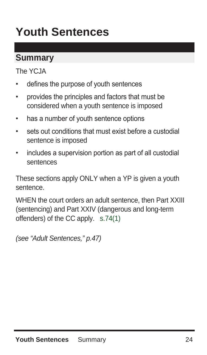## **Youth Sentences**

#### **Summary**

The YCJA

- defines the purpose of youth sentences
- provides the principles and factors that must be considered when a youth sentence is imposed
- has a number of youth sentence options
- sets out conditions that must exist before a custodial sentence is imposed
- includes a supervision portion as part of all custodial sentences

These sections apply ONLY when a YP is given a youth sentence.

WHEN the court orders an adult sentence, then Part XXIII (sentencing) and Part XXIV (dangerous and long-term offenders) of the CC apply. s.74(1)

(see "Adult Sentences," p.47)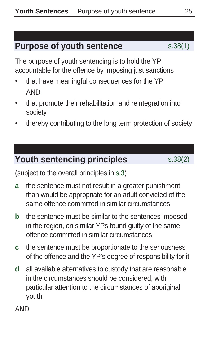#### **Purpose of youth sentence** s.38(1)

The purpose of youth sentencing is to hold the YP accountable for the offence by imposing just sanctions

- that have meaningful consequences for the YP AND
- that promote their rehabilitation and reintegration into society
- thereby contributing to the long term protection of society

#### **Youth sentencing principles** s.38(2)

(subject to the overall principles in s.3)

- **a** the sentence must not result in a greater punishment than would be appropriate for an adult convicted of the same offence committed in similar circumstances
- **b** the sentence must be similar to the sentences imposed in the region, on similar YPs found guilty of the same offence committed in similar circumstances
- **c** the sentence must be proportionate to the seriousness of the offence and the YP's degree of responsibility for it
- **d** all available alternatives to custody that are reasonable in the circumstances should be considered, with particular attention to the circumstances of aboriginal youth

AND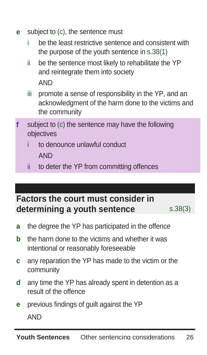- **e** subject to (c), the sentence must
	- i be the least restrictive sentence and consistent with the purpose of the youth sentence in s.38(1)
	- ii be the sentence most likely to rehabilitate the YP and reintegrate them into society AND
	- iii promote a sense of responsibility in the YP, and an acknowledgment of the harm done to the victims and the community
- **f** subject to (c) the sentence may have the following objectives
	- to denounce unlawful conduct AND
	- ii to deter the YP from committing offences

#### **Factors the court must consider in determining a youth sentence** s.38(3)

- **a** the degree the YP has participated in the offence
- **b** the harm done to the victims and whether it was intentional or reasonably foreseeable
- **c** any reparation the YP has made to the victim or the community
- **d** any time the YP has already spent in detention as a result of the offence
- **e** previous findings of guilt against the YP AND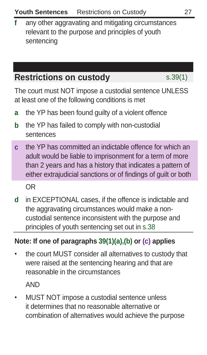**f** any other aggravating and mitigating circumstances relevant to the purpose and principles of youth sentencing

## **Restrictions on custody** s.39(1)

The court must NOT impose a custodial sentence UNLESS at least one of the following conditions is met

- **a** the YP has been found guilty of a violent offence
- **b** the YP has failed to comply with non-custodial sentences
- **c** the YP has committed an indictable offence for which an adult would be liable to imprisonment for a term of more than 2 years and has a history that indicates a pattern of either extrajudicial sanctions or of findings of guilt or both

OR

**d** in EXCEPTIONAL cases, if the offence is indictable and the aggravating circumstances would make a noncustodial sentence inconsistent with the purpose and principles of youth sentencing set out in s.38

### **Note: If one of paragraphs 39(1)(a),(b) or (c) applies**

• the court MUST consider all alternatives to custody that were raised at the sentencing hearing and that are reasonable in the circumstances

AND

• MUST NOT impose a custodial sentence unless it determines that no reasonable alternative or combination of alternatives would achieve the purpose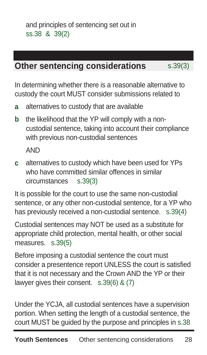## **Other sentencing considerations** s.39(3)

In determining whether there is a reasonable alternative to custody the court MUST consider submissions related to

- **a** alternatives to custody that are available
- **b** the likelihood that the YP will comply with a noncustodial sentence, taking into account their compliance with previous non-custodial sentences

AND

**c** alternatives to custody which have been used for YPs who have committed similar offences in similar circumstances s.39(3)

It is possible for the court to use the same non-custodial sentence, or any other non-custodial sentence, for a YP who has previously received a non-custodial sentence. s.39(4)

Custodial sentences may NOT be used as a substitute for appropriate child protection, mental health, or other social measures. s.39(5)

Before imposing a custodial sentence the court must consider a presentence report UNLESS the court is satisfied that it is not necessary and the Crown AND the YP or their lawyer gives their consent. s.39(6) & (7)

Under the YCJA, all custodial sentences have a supervision portion. When setting the length of a custodial sentence, the court MUST be guided by the purpose and principles in s.38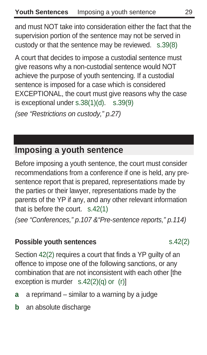and must NOT take into consideration either the fact that the supervision portion of the sentence may not be served in custody or that the sentence may be reviewed. s.39(8)

A court that decides to impose a custodial sentence must give reasons why a non-custodial sentence would NOT achieve the purpose of youth sentencing. If a custodial sentence is imposed for a case which is considered EXCEPTIONAL, the court must give reasons why the case is exceptional under s.38(1)(d). s.39(9) (see "Restrictions on custody," p.27)

**Imposing a youth sentence** 

Before imposing a youth sentence, the court must consider recommendations from a conference if one is held, any presentence report that is prepared, representations made by the parties or their lawyer, representations made by the parents of the YP if any, and any other relevant information that is before the court. s.42(1)

(see "Conferences," p.107 &"Pre-sentence reports," p.114)

#### **Possible youth sentences** s.42(2)

Section 42(2) requires a court that finds a YP guilty of an offence to impose one of the following sanctions, or any combination that are not inconsistent with each other [the exception is murder s.42(2)(q) or (r)]

- **a** a reprimand similar to a warning by a judge
- **b** an absolute discharge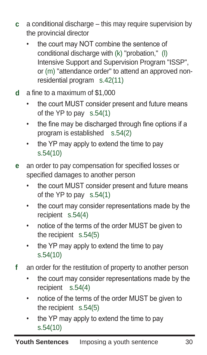- **c** a conditional discharge this may require supervision by the provincial director
	- the court may NOT combine the sentence of conditional discharge with (k) "probation," (l) Intensive Support and Supervision Program "ISSP", or (m) "attendance order" to attend an approved nonresidential program s.42(11)
- **d** a fine to a maximum of \$1,000
	- the court MUST consider present and future means of the YP to pay s.54(1)
	- the fine may be discharged through fine options if a program is established s.54(2)
	- the YP may apply to extend the time to pay s.54(10)
- **e** an order to pay compensation for specified losses or specified damages to another person
	- the court MUST consider present and future means of the YP to pay s.54(1)
	- the court may consider representations made by the recipient s.54(4)
	- notice of the terms of the order MUST be given to the recipient s.54(5)
	- the YP may apply to extend the time to pay s.54(10)
- **f** an order for the restitution of property to another person
	- the court may consider representations made by the recipient s.54(4)
	- notice of the terms of the order MUST be given to the recipient s.54(5)
	- the YP may apply to extend the time to pay s.54(10)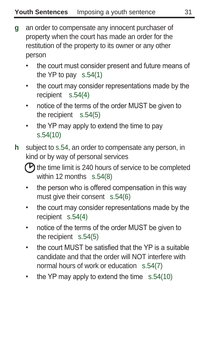- **g** an order to compensate any innocent purchaser of property when the court has made an order for the restitution of the property to its owner or any other person
	- the court must consider present and future means of the YP to pay s.54(1)
	- the court may consider representations made by the recipient s.54(4)
	- notice of the terms of the order MUST be given to the recipient s.54(5)
	- the YP may apply to extend the time to pay s.54(10)
- **h** subject to s.54, an order to compensate any person, in kind or by way of personal services

 $\Theta$  the time limit is 240 hours of service to be completed within 12 months s.54(8)

- the person who is offered compensation in this way must give their consent s.54(6)
- the court may consider representations made by the recipient s.54(4)
- notice of the terms of the order MUST be given to the recipient s.54(5)
- the court MUST be satisfied that the YP is a suitable candidate and that the order will NOT interfere with normal hours of work or education s.54(7)
- the YP may apply to extend the time  $s.54(10)$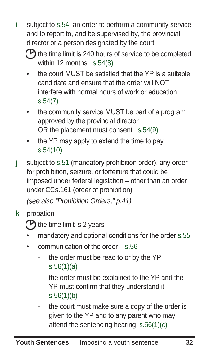- **i** subject to s.54, an order to perform a community service and to report to, and be supervised by, the provincial director or a person designated by the court
	- $\epsilon$  the time limit is 240 hours of service to be completed within 12 months s.54(8)
	- the court MUST be satisfied that the YP is a suitable candidate and ensure that the order will NOT interfere with normal hours of work or education s.54(7)
	- the community service MUST be part of a program approved by the provincial director OR the placement must consent s.54(9)
	- the YP may apply to extend the time to pay s.54(10)
- **j** subject to s.51 (mandatory prohibition order), any order for prohibition, seizure, or forfeiture that could be imposed under federal legislation – other than an order under CCs.161 (order of prohibition)

(see also "Prohibition Orders," p.41)

**k** probation

 $\bigcirc$  the time limit is 2 years

- mandatory and optional conditions for the order s.55
- communication of the order s.56
	- the order must be read to or by the YP s.56(1)(a)
	- the order must be explained to the YP and the YP must confirm that they understand it s.56(1)(b)
	- the court must make sure a copy of the order is given to the YP and to any parent who may attend the sentencing hearing s.56(1)(c)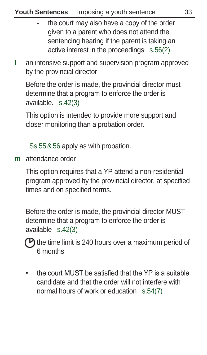- the court may also have a copy of the order given to a parent who does not attend the sentencing hearing if the parent is taking an active interest in the proceedings s.56(2)
- **l** an intensive support and supervision program approved by the provincial director

 Before the order is made, the provincial director must determine that a program to enforce the order is available. s.42(3)

This option is intended to provide more support and closer monitoring than a probation order.

Ss.55&56 apply as with probation.

**m** attendance order

 This option requires that a YP attend a non-residential program approved by the provincial director, at specified times and on specified terms.

 Before the order is made, the provincial director MUST determine that a program to enforce the order is available s.42(3)

 $\sigma$  the time limit is 240 hours over a maximum period of 6 months

• the court MUST be satisfied that the YP is a suitable candidate and that the order will not interfere with normal hours of work or education s.54(7)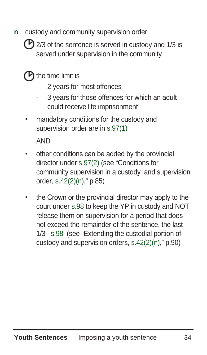**n** custody and community supervision order

 $\bigcirc$  2/3 of the sentence is served in custody and 1/3 is served under supervision in the community

## $\left(\mathsf{P}\right)$  the time limit is

- 2 years for most offences
- 3 years for those offences for which an adult could receive life imprisonment
- mandatory conditions for the custody and supervision order are in s.97(1)

AND

- other conditions can be added by the provincial director under s.97(2) (see "Conditions for community supervision in a custody and supervision order, s.42(2)(n)," p.85)
- the Crown or the provincial director may apply to the court under s.98 to keep the YP in custody and NOT release them on supervision for a period that does not exceed the remainder of the sentence, the last 1/3 s.98 (see "Extending the custodial portion of custody and supervision orders, s.42(2)(n)," p.90)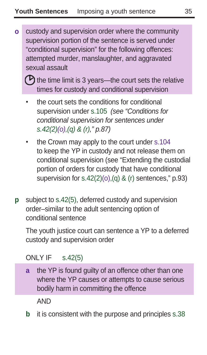**o** custody and supervision order where the community supervision portion of the sentence is served under "conditional supervision" for the following offences: attempted murder, manslaughter, and aggravated sexual assault

 $\Theta$  the time limit is 3 years—the court sets the relative times for custody and conditional supervision

- the court sets the conditions for conditional supervision under s.105 (see "Conditions for conditional supervision for sentences under s.42(2)(o),(q) & (r),"  $p.87$ )
- the Crown may apply to the court under s.104 to keep the YP in custody and not release them on conditional supervision (see "Extending the custodial portion of orders for custody that have conditional supervision for  $s.42(2)(o)$ , (q) & (r) sentences," p.93)
- **p** subject to s.42(5), deferred custody and supervision order–similar to the adult sentencing option of conditional sentence

The youth justice court can sentence a YP to a deferred custody and supervision order

ONLY IF s.42(5)

**a** the YP is found guilty of an offence other than one where the YP causes or attempts to cause serious bodily harm in committing the offence

AND

**b** it is consistent with the purpose and principles s.38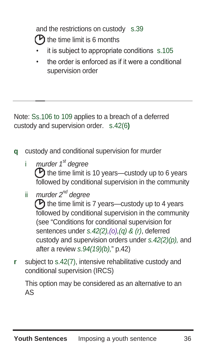and the restrictions on custody s.39

 $\mathbf P$  the time limit is 6 months

- it is subject to appropriate conditions s.105
- the order is enforced as if it were a conditional supervision order

Note: Ss.106 to 109 applies to a breach of a deferred 109 custody and supervision order. s.42(6**)**

- **q** custody and conditional supervision for murder
	- i murder 1<sup>st</sup> degree  $\Theta$  the time limit is 10 years—custody up to 6 years followed by conditional supervision in the community
	- ii murder 2<sup>nd</sup> dearee  $\Theta$  the time limit is 7 years—custody up to 4 years followed by conditional supervision in the community (see "Conditions for conditional supervision for sentences under s.42(2),(o),(q) & (r), deferred custody and supervision orders under  $s.42(2)(p)$ , and after a review s.94(19)(b)," p.42)
- **r** subject to s.42(7), intensive rehabilitative custody and conditional supervision (IRCS)

 This option may be considered as an alternative to an AS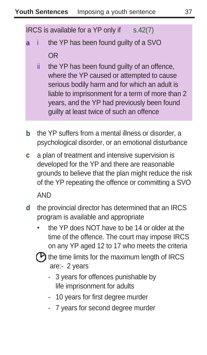IRCS is available for a  $YP$  only if  $s.42(7)$ 

- **a** i the YP has been found guilty of a SVO OR
	- ii the YP has been found guilty of an offence, where the YP caused or attempted to cause serious bodily harm and for which an adult is liable to imprisonment for a term of more than 2 years, and the YP had previously been found guilty at least twice of such an offence
- **b** the YP suffers from a mental illness or disorder, a psychological disorder, or an emotional disturbance
- **c** a plan of treatment and intensive supervision is developed for the YP and there are reasonable grounds to believe that the plan might reduce the risk of the YP repeating the offence or committing a SVO AND
- **d** the provincial director has determined that an IRCS program is available and appropriate
	- the YP does NOT have to be 14 or older at the time of the offence. The court may impose IRCS on any YP aged 12 to 17 who meets the criteria
	- $\mathbf P$  the time limits for the maximum length of IRCS are:- 2 years
		- 3 years for offences punishable by life imprisonment for adults
		- 10 years for first degree murder
		- 7 years for second degree murder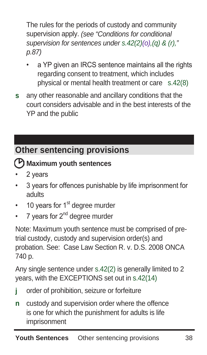The rules for the periods of custody and community supervision apply. (see "Conditions for conditional supervision for sentences under s.42(2)(o),(q) & (r)," p.87)

- a YP given an IRCS sentence maintains all the rights regarding consent to treatment, which includes physical or mental health treatment or care s.42(8)
- **s** any other reasonable and ancillary conditions that the court considers advisable and in the best interests of the YP and the public

# **Other sentencing provisions**

## **Maximum youth sentences**

- 2 years
- 3 years for offences punishable by life imprisonment for adults
- 10 years for  $1<sup>st</sup>$  degree murder
- 7 years for  $2^{nd}$  degree murder

Note: Maximum youth sentence must be comprised of pretrial custody, custody and supervision order(s) and probation. See: Case Law Section R. v. D.S. 2008 ONCA 740 p.

Any single sentence under s.42(2) is generally limited to 2 years, with the EXCEPTIONS set out in s.42(14)

- **j** order of prohibition, seizure or forfeiture
- **n** custody and supervision order where the offence is one for which the punishment for adults is life imprisonment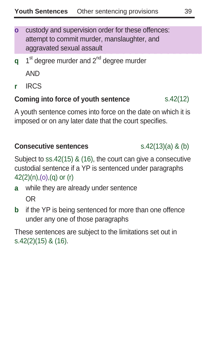- **o** custody and supervision order for these offences: attempt to commit murder, manslaughter, and aggravated sexual assault
- **q** 1<sup>st</sup> degree murder and 2<sup>nd</sup> degree murder AND
- **r** IRCS

#### **Coming into force of youth sentence** s.42(12)

A youth sentence comes into force on the date on which it is imposed or on any later date that the court specifies.

#### **Consecutive sentences** s.42(13)(a) & (b)

Subject to ss.42(15) & (16), the court can give a consecutive custodial sentence if a YP is sentenced under paragraphs  $42(2)(n),(o),(q)$  or  $(r)$ 

- **a** while they are already under sentence OR
- **b** if the YP is being sentenced for more than one offence under any one of those paragraphs

These sentences are subject to the limitations set out in s.42(2)(15) & (16).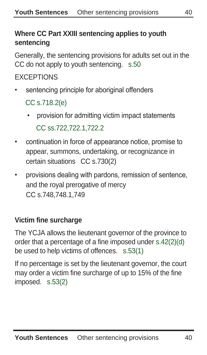### **Where CC Part XXIII sentencing applies to youth sentencing**

Generally, the sentencing provisions for adults set out in the CC do not apply to youth sentencing. s.50

### **EXCEPTIONS**

sentencing principle for aboriginal offenders

CC s.718.2(e)

- provision for admitting victim impact statements CC ss.722,722.1,722.2
- continuation in force of appearance notice, promise to appear, summons, undertaking, or recognizance in certain situations CC s.730(2)
- provisions dealing with pardons, remission of sentence, and the royal prerogative of mercy CC s.748,748.1,749

### **Victim fine surcharge**

The YCJA allows the lieutenant governor of the province to order that a percentage of a fine imposed under s.42(2)(d) be used to help victims of offences. s.53(1)

If no percentage is set by the lieutenant governor, the court may order a victim fine surcharge of up to 15% of the fine imposed. s.53(2)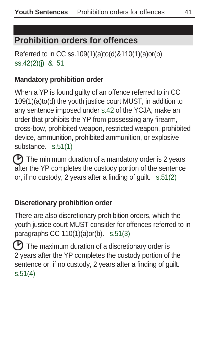## **Prohibition orders for offences**

Referred to in CC ss.109(1)(a)to(d)&110(1)(a)or(b) ss.42(2)(j) & 51

#### **Mandatory prohibition order**

When a YP is found guilty of an offence referred to in CC 109(1)(a)to(d) the youth justice court MUST, in addition to any sentence imposed under s.42 of the YCJA, make an order that prohibits the YP from possessing any firearm, cross-bow, prohibited weapon, restricted weapon, prohibited device, ammunition, prohibited ammunition, or explosive substance. s.51(1)

 $\mathcal P$  The minimum duration of a mandatory order is 2 years after the YP completes the custody portion of the sentence or, if no custody, 2 years after a finding of guilt. s.51(2)

#### **Discretionary prohibition order**

There are also discretionary prohibition orders, which the youth justice court MUST consider for offences referred to in paragraphs CC 110(1)(a)or(b). s.51(3)

 $\mathbf P$  The maximum duration of a discretionary order is 2 years after the YP completes the custody portion of the sentence or, if no custody, 2 years after a finding of guilt. s.51(4)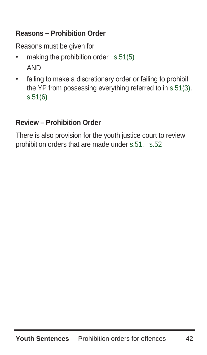### **Reasons – Prohibition Order**

Reasons must be given for

- making the prohibition order s.51(5) AND
- failing to make a discretionary order or failing to prohibit the YP from possessing everything referred to in s.51(3). s.51(6)

#### **Review – Prohibition Order**

There is also provision for the youth justice court to review prohibition orders that are made under s.51. s.52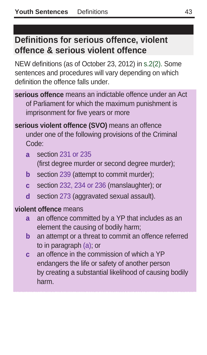## **Definitions for serious offence, violent offence & serious violent offence**

NEW definitions (as of October 23, 2012) in s.2(2). Some sentences and procedures will vary depending on which definition the offence falls under.

- **serious offence** means an indictable offence under an Act of Parliament for which the maximum punishment is imprisonment for five years or more
- **serious violent offence (SVO)** means an offence under one of the following provisions of the Criminal Code:
	- **a** section 231 or 235
		- (first degree murder or second degree murder);
	- **b** section 239 (attempt to commit murder);
	- **c** section 232, 234 or 236 (manslaughter); or
	- **d** section 273 (aggravated sexual assault).

#### **violent offence** means

- **a** an offence committed by a YP that includes as an element the causing of bodily harm;
- **b** an attempt or a threat to commit an offence referred to in paragraph (a); or
- **c** an offence in the commission of which a YP endangers the life or safety of another person by creating a substantial likelihood of causing bodily harm.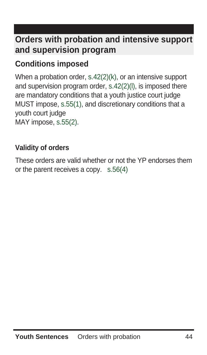## **Orders with probation and intensive support and supervision program**

## **Conditions imposed**

When a probation order, s.42(2)(k), or an intensive support and supervision program order, s.42(2)(l), is imposed there are mandatory conditions that a youth justice court judge MUST impose, s.55(1), and discretionary conditions that a youth court judge MAY impose, s.55(2).

### **Validity of orders**

These orders are valid whether or not the YP endorses them or the parent receives a copy. s.56(4)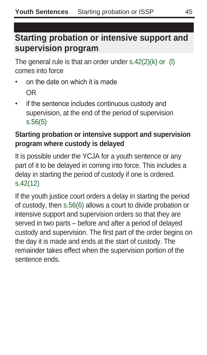## **Starting probation or intensive support and supervision program**

The general rule is that an order under s.42(2)(k) or (l) comes into force

- on the date on which it is made OR
- if the sentence includes continuous custody and supervision, at the end of the period of supervision s.56(5)

#### **Starting probation or intensive support and supervision program where custody is delayed**

It is possible under the YCJA for a youth sentence or any part of it to be delayed in coming into force. This includes a delay in starting the period of custody if one is ordered. s.42(12)

If the youth justice court orders a delay in starting the period of custody, then s.56(6) allows a court to divide probation or intensive support and supervision orders so that they are served in two parts – before and after a period of delayed custody and supervision. The first part of the order begins on the day it is made and ends at the start of custody. The remainder takes effect when the supervision portion of the sentence ends.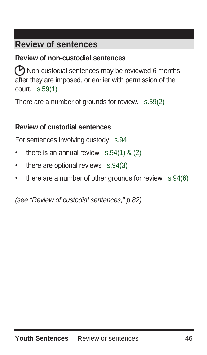## **Review of sentences**

#### **Review of non-custodial sentences**

 Non-custodial sentences may be reviewed 6 months after they are imposed, or earlier with permission of the court. s.59(1)

There are a number of grounds for review. s.59(2)

#### **Review of custodial sentences**

For sentences involving custody s.94

- there is an annual review  $s.94(1)$  & (2)
- there are optional reviews s.94(3)
- there are a number of other grounds for review s.94(6)

(see "Review of custodial sentences," p.82)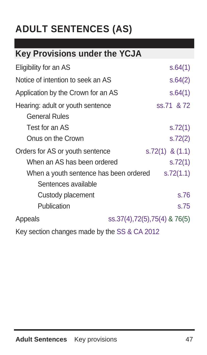# **ADULT SENTENCES (AS)**

# **Key Provisions under the YCJA**

| Eligibility for an AS                                    | s.64(1)                      |
|----------------------------------------------------------|------------------------------|
| Notice of intention to seek an AS                        | s.64(2)                      |
| Application by the Crown for an AS                       | s.64(1)                      |
| Hearing: adult or youth sentence<br><b>General Rules</b> | ss.71 & 72                   |
| Test for an AS                                           | s.72(1)                      |
| Onus on the Crown                                        | s.72(2)                      |
| Orders for AS or youth sentence                          | $s.72(1)$ & $(1.1)$          |
| When an AS has been ordered                              | s.72(1)                      |
| When a youth sentence has been ordered                   | S.72(1.1)                    |
| Sentences available                                      |                              |
| Custody placement                                        | s.76                         |
| Publication                                              | s.75                         |
| Appeals                                                  | ss.37(4),72(5),75(4) & 76(5) |
| Key section changes made by the SS & CA 2012             |                              |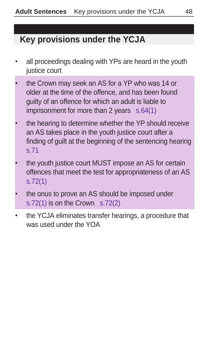## **Key provisions under the YCJA**

- all proceedings dealing with YPs are heard in the youth justice court
- the Crown may seek an AS for a YP who was 14 or older at the time of the offence, and has been found guilty of an offence for which an adult is liable to imprisonment for more than 2 years s.64(1)
- the hearing to determine whether the YP should receive an AS takes place in the youth justice court after a finding of guilt at the beginning of the sentencing hearing s.71
- the youth justice court MUST impose an AS for certain offences that meet the test for appropriateness of an AS s.72(1)
- the onus to prove an AS should be imposed under s.72(1) is on the Crown s.72(2)
- the YCJA eliminates transfer hearings, a procedure that was used under the YOA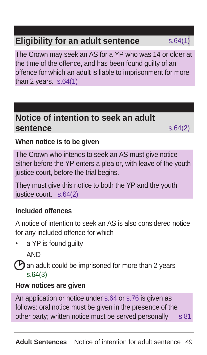## **Eligibility for an adult sentence** s.64(1)

The Crown may seek an AS for a YP who was 14 or older at the time of the offence, and has been found guilty of an offence for which an adult is liable to imprisonment for more than 2 years.  $s.64(1)$ 

## **Notice of intention to seek an adult sentence** s.64(2)

#### **When notice is to be given**

The Crown who intends to seek an AS must give notice either before the YP enters a plea or, with leave of the youth justice court, before the trial begins.

They must give this notice to both the YP and the youth justice court. s.64(2)

#### **Included offences**

A notice of intention to seek an AS is also considered notice for any included offence for which

a YP is found guilty

AND

 $\Theta$  an adult could be imprisoned for more than 2 years s.64(3)

#### **How notices are given**

An application or notice under s.64 or s.76 is given as follows: oral notice must be given in the presence of the other party; written notice must be served personally. s.81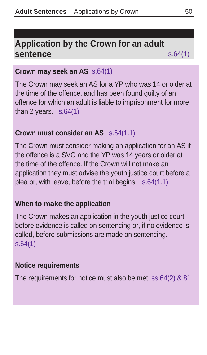## **Application by the Crown for an adult sentence** s.64(1)

#### **Crown may seek an AS** s.64(1)

The Crown may seek an AS for a YP who was 14 or older at the time of the offence, and has been found guilty of an offence for which an adult is liable to imprisonment for more than 2 years.  $s.64(1)$ 

#### **Crown must consider an AS** s.64(1.1)

The Crown must consider making an application for an AS if the offence is a SVO and the YP was 14 years or older at the time of the offence. If the Crown will not make an application they must advise the youth justice court before a plea or, with leave, before the trial begins. s.64(1.1)

#### **When to make the application**

The Crown makes an application in the youth justice court before evidence is called on sentencing or, if no evidence is called, before submissions are made on sentencing. s.64(1)

#### **Notice requirements**

The requirements for notice must also be met. ss.64(2) & 81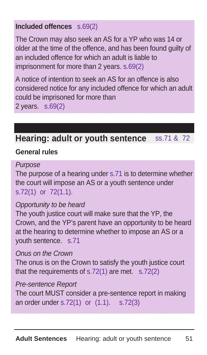### **Included offences** s.69(2)

The Crown may also seek an AS for a YP who was 14 or older at the time of the offence, and has been found guilty of an included offence for which an adult is liable to imprisonment for more than 2 years. s.69(2)

A notice of intention to seek an AS for an offence is also considered notice for any included offence for which an adult could be imprisoned for more than 2 years. s.69(2)

## **Hearing: adult or youth sentence** ss.71 & 72

#### **General rules**

Purpose

The purpose of a hearing under s.71 is to determine whether the court will impose an AS or a youth sentence under s.72(1) or 72(1.1).

#### Opportunity to be heard

The youth justice court will make sure that the YP, the Crown, and the YP's parent have an opportunity to be heard at the hearing to determine whether to impose an AS or a youth sentence. s.71

#### Onus on the Crown

The onus is on the Crown to satisfy the youth justice court that the requirements of s.72(1) are met. s.72(2)

#### Pre-sentence Report

The court MUST consider a pre-sentence report in making an order under s.72(1) or (1.1). s.72(3)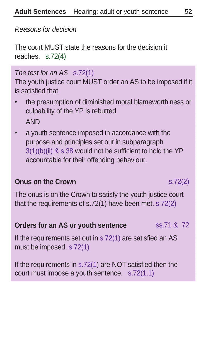Reasons for decision

The court MUST state the reasons for the decision it reaches. s.72(4)

#### The test for an AS s.72(1)

The youth justice court MUST order an AS to be imposed if it is satisfied that

- the presumption of diminished moral blameworthiness or culpability of the YP is rebutted AND
- a youth sentence imposed in accordance with the purpose and principles set out in subparagraph 3(1)(b)(ii) & s.38 would not be sufficient to hold the YP accountable for their offending behaviour.

#### **Onus on the Crown** s.72(2)

The onus is on the Crown to satisfy the youth justice court that the requirements of s.72(1) have been met. s.72(2)

#### **Orders for an AS or youth sentence** ss.71 & 72

If the requirements set out in s.72(1) are satisfied an AS must be imposed. s.72(1)

If the requirements in s.72(1) are NOT satisfied then the court must impose a youth sentence. s.72(1.1)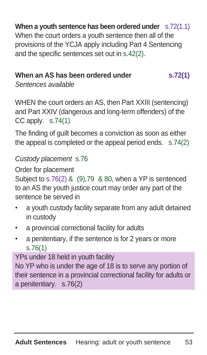**When a youth sentence has been ordered under** s.72(1.1) When the court orders a youth sentence then all of the provisions of the YCJA apply including Part 4 Sentencing and the specific sentences set out in s.42(2).

### When an AS has been ordered under s.72(1)

Sentences available

WHEN the court orders an AS, then Part XXIII (sentencing) and Part XXIV (dangerous and long-term offenders) of the CC apply. s.74(1)

The finding of guilt becomes a conviction as soon as either the appeal is completed or the appeal period ends. s.74(2)

#### Custody placement s.76

Order for placement

Subject to s.76(2) & (9),79 & 80, when a YP is sentenced to an AS the youth justice court may order any part of the sentence be served in

- a youth custody facility separate from any adult detained in custody
- a provincial correctional facility for adults
- a penitentiary, if the sentence is for 2 years or more s.76(1)

YPs under 18 held in youth facility

No YP who is under the age of 18 is to serve any portion of their sentence in a provincial correctional facility for adults or a penitentiary. s.76(2)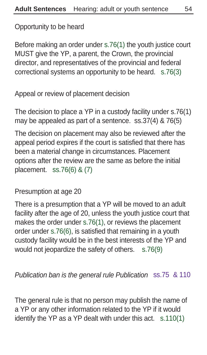Opportunity to be heard

Before making an order under s.76(1) the youth justice court MUST give the YP, a parent, the Crown, the provincial director, and representatives of the provincial and federal correctional systems an opportunity to be heard. s.76(3)

Appeal or review of placement decision

The decision to place a YP in a custody facility under s.76(1) may be appealed as part of a sentence. ss.37(4) & 76(5)

The decision on placement may also be reviewed after the appeal period expires if the court is satisfied that there has been a material change in circumstances. Placement options after the review are the same as before the initial placement. ss.76(6) & (7)

Presumption at age 20

There is a presumption that a YP will be moved to an adult facility after the age of 20, unless the youth justice court that makes the order under s.76(1), or reviews the placement order under s.76(6), is satisfied that remaining in a youth custody facility would be in the best interests of the YP and would not jeopardize the safety of others. s.76(9)

Publication ban is the general rule Publication ss.75 & 110

The general rule is that no person may publish the name of a YP or any other information related to the YP if it would identify the YP as a YP dealt with under this act. s.110(1)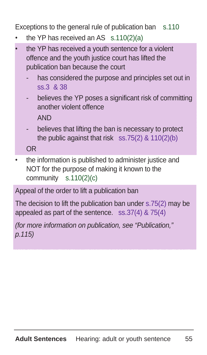Exceptions to the general rule of publication ban s.110

- the YP has received an AS  $s.110(2)(a)$
- the YP has received a youth sentence for a violent offence and the youth justice court has lifted the publication ban because the court
	- has considered the purpose and principles set out in ss.3 & 38
	- believes the YP poses a significant risk of committing another violent offence AND
	- believes that lifting the ban is necessary to protect the public against that risk ss.75(2) & 110(2)(b)

OR

the information is published to administer justice and NOT for the purpose of making it known to the community s.110(2)(c)

Appeal of the order to lift a publication ban

The decision to lift the publication ban under s.75(2) may be appealed as part of the sentence. ss.37(4) & 75(4)

(for more information on publication, see "Publication," p.115)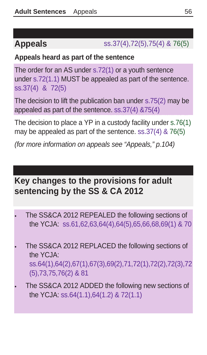## **Appeals** ss.37(4),72(5),75(4) & 76(5)

#### **Appeals heard as part of the sentence**

The order for an AS under s.72(1) or a youth sentence under s.72(1.1) MUST be appealed as part of the sentence. ss.37(4) & 72(5)

The decision to lift the publication ban under s.75(2) may be appealed as part of the sentence. ss.37(4) &75(4)

The decision to place a YP in a custody facility under s.76(1) may be appealed as part of the sentence. ss.37(4) & 76(5)

(for more information on appeals see "Appeals," p.104)

## **Key changes to the provisions for adult sentencing by the SS & CA 2012**

- The SS&CA 2012 REPEALED the following sections of the YCJA: ss.61,62,63,64(4),64(5),65,66,68,69(1) & 70
- The SS&CA 2012 REPLACED the following sections of the YCJA: ss.64(1),64(2),67(1),67(3),69(2),71,72(1),72(2),72(3),72 (5),73,75,76(2) & 81
- The SS&CA 2012 ADDED the following new sections of the YCJA: ss.64(1.1),64(1.2) & 72(1.1)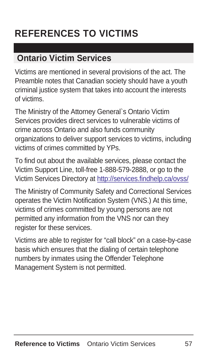# **REFERENCES TO VICTIMS**

## **Ontario Victim Services**

Victims are mentioned in several provisions of the act. The Preamble notes that Canadian society should have a youth criminal justice system that takes into account the interests of victims.

The Ministry of the Attorney General`s Ontario Victim Services provides direct services to vulnerable victims of crime across Ontario and also funds community organizations to deliver support services to victims, including victims of crimes committed by YPs.

To find out about the available services, please contact the Victim Support Line, toll-free 1-888-579-2888, or go to the Victim Services Directory at http://services.findhelp.ca/ovss/

The Ministry of Community Safety and Correctional Services operates the Victim Notification System (VNS.) At this time, victims of crimes committed by young persons are not permitted any information from the VNS nor can they register for these services.

Victims are able to register for "call block" on a case-by-case basis which ensures that the dialing of certain telephone numbers by inmates using the Offender Telephone Management System is not permitted.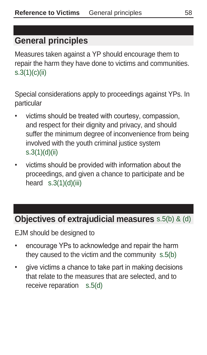## **General principles**

Measures taken against a YP should encourage them to repair the harm they have done to victims and communities. s.3(1)(c)(ii)

Special considerations apply to proceedings against YPs. In particular

- victims should be treated with courtesy, compassion, and respect for their dignity and privacy, and should suffer the minimum degree of inconvenience from being involved with the youth criminal justice system s.3(1)(d)(ii)
- victims should be provided with information about the proceedings, and given a chance to participate and be heard  $s.3(1)(d)(iii)$

## **Objectives of extrajudicial measures** s.5(b) & (d)

EJM should be designed to

- encourage YPs to acknowledge and repair the harm they caused to the victim and the community s.5(b)
- give victims a chance to take part in making decisions that relate to the measures that are selected, and to receive reparation s.5(d)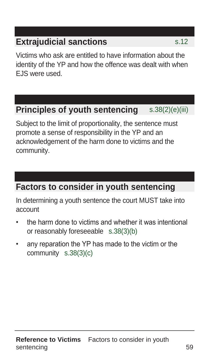## **Extrajudicial sanctions** s.12

Victims who ask are entitled to have information about the identity of the YP and how the offence was dealt with when EJS were used.

## **Principles of youth sentencing** s.38(2)(e)(iii)

Subject to the limit of proportionality, the sentence must promote a sense of responsibility in the YP and an acknowledgement of the harm done to victims and the community.

## **Factors to consider in youth sentencing**

In determining a youth sentence the court MUST take into account

- the harm done to victims and whether it was intentional or reasonably foreseeable s.38(3)(b)
- any reparation the YP has made to the victim or the community s.38(3)(c)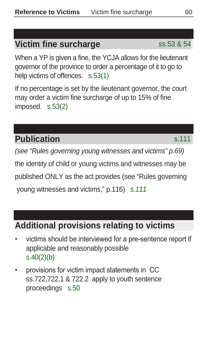## **Victim fine surcharge** ss.53 & 54

When a YP is given a fine, the YCJA allows for the lieutenant governor of the province to order a percentage of it to go to help victims of offences. s.53(1)

If no percentage is set by the lieutenant governor, the court may order a victim fine surcharge of up to 15% of fine imposed. s.53(2)

## **Publication** s.111

(see "Rules governing young witnesses and victims" p.69) the identity of child or young victims and witnesses may be published ONLY as the act provides (see "Rules governing young witnesses and victims," p.116) s.111

## **Additional provisions relating to victims**

- victims should be interviewed for a pre-sentence report if applicable and reasonably possible s.40(2)(b)
- provisions for victim impact statements in CC ss.722,722.1 & 722.2 apply to youth sentence proceedings s.50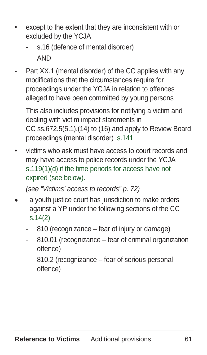- except to the extent that they are inconsistent with or excluded by the YCJA
	- s.16 (defence of mental disorder) AND
- Part XX.1 (mental disorder) of the CC applies with any modifications that the circumstances require for proceedings under the YCJA in relation to offences alleged to have been committed by young persons

 This also includes provisions for notifying a victim and dealing with victim impact statements in CC ss.672.5(5.1),(14) to (16) and apply to Review Board proceedings (mental disorder) s.141

• victims who ask must have access to court records and may have access to police records under the YCJA s.119(1)(d) if the time periods for access have not expired (see below).

(see "Victims' access to records" p. 72)

- a youth justice court has jurisdiction to make orders against a YP under the following sections of the CC s.14(2)
	- 810 (recognizance fear of injury or damage)
	- 810.01 (recognizance fear of criminal organization offence)
	- 810.2 (recognizance fear of serious personal offence)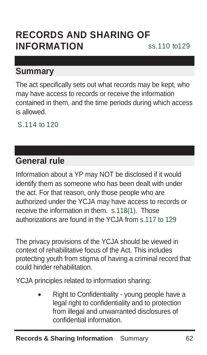# **RECORDS AND SHARING OF INFORMATION ss.110 to129**

### **Summary**

The act specifically sets out what records may be kept, who may have access to records or receive the information contained in them, and the time periods during which access is allowed.

S.114 to 120

## **General rule**

Information about a YP may NOT be disclosed if it would identify them as someone who has been dealt with under the act. For that reason, only those people who are authorized under the YCJA may have access to records or receive the information in them. s.118(1). Those authorizations are found in the YCJA from s.117 to 129

The privacy provisions of the YCJA should be viewed in context of rehabilitative focus of the Act. This includes protecting youth from stigma of having a criminal record that could hinder rehabilitation.

YCJA principles related to information sharing:

• Right to Confidentiality - young people have a legal right to confidentiality and to protection from illegal and unwarranted disclosures of confidential information.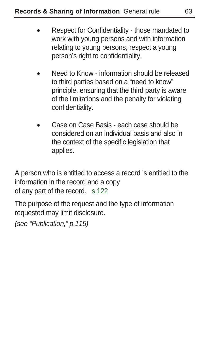- Respect for Confidentiality those mandated to work with young persons and with information relating to young persons, respect a young person's right to confidentiality.
- Need to Know information should be released to third parties based on a "need to know" principle, ensuring that the third party is aware of the limitations and the penalty for violating confidentiality.
- Case on Case Basis each case should be considered on an individual basis and also in the context of the specific legislation that applies.

A person who is entitled to access a record is entitled to the information in the record and a copy of any part of the record. s.122

The purpose of the request and the type of information requested may limit disclosure.

(see "Publication," p.115)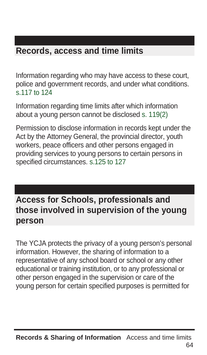# **Records, access and time limits**

Information regarding who may have access to these court, police and government records, and under what conditions. s.117 to 124

Information regarding time limits after which information about a young person cannot be disclosed s. 119(2)

Permission to disclose information in records kept under the Act by the Attorney General, the provincial director, youth workers, peace officers and other persons engaged in providing services to young persons to certain persons in specified circumstances. s.125 to 127

# **Access for Schools, professionals and those involved in supervision of the young person**

The YCJA protects the privacy of a young person's personal information. However, the sharing of information to a representative of any school board or school or any other educational or training institution, or to any professional or other person engaged in the supervision or care of the young person for certain specified purposes is permitted for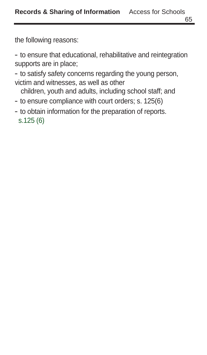the following reasons:

- to ensure that educational, rehabilitative and reintegration supports are in place;

- to satisfy safety concerns regarding the young person, victim and witnesses, as well as other

children, youth and adults, including school staff; and

- to ensure compliance with court orders; s. 125(6)
- to obtain information for the preparation of reports. s.125 (6)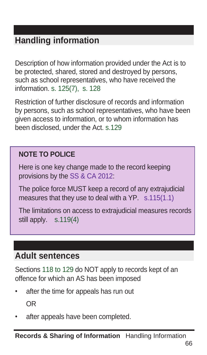# **Handling information**

Description of how information provided under the Act is to be protected, shared, stored and destroyed by persons, such as school representatives, who have received the information. s. 125(7), s. 128

Restriction of further disclosure of records and information by persons, such as school representatives, who have been given access to information, or to whom information has been disclosed, under the Act. s.129

## **NOTE TO POLICE**

Here is one key change made to the record keeping provisions by the SS & CA 2012:

The police force MUST keep a record of any extrajudicial measures that they use to deal with a YP. s.115(1.1)

The limitations on access to extrajudicial measures records still apply. s.119(4)

## **Adult sentences**

Sections 118 to 129 do NOT apply to records kept of an offence for which an AS has been imposed

- after the time for appeals has run out OR
- after appeals have been completed.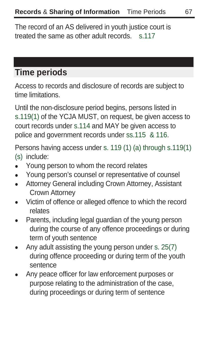The record of an AS delivered in youth justice court is treated the same as other adult records. s.117

# **Time periods**

Access to records and disclosure of records are subject to time limitations.

Until the non-disclosure period begins, persons listed in s.119(1) of the YCJA MUST, on request, be given access to court records under s.114 and MAY be given access to police and government records under ss.115 & 116.

Persons having access under s. 119 (1) (a) through s.119(1) (s) include:

- Young person to whom the record relates
- Young person's counsel or representative of counsel
- Attorney General including Crown Attorney, Assistant Crown Attorney
- Victim of offence or alleged offence to which the record relates
- Parents, including legal guardian of the young person during the course of any offence proceedings or during term of youth sentence
- Any adult assisting the young person under s. 25(7) during offence proceeding or during term of the youth sentence
- Any peace officer for law enforcement purposes or purpose relating to the administration of the case, during proceedings or during term of sentence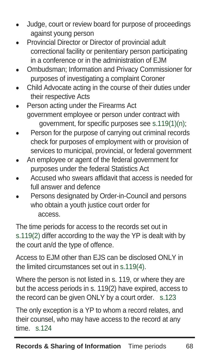- Judge, court or review board for purpose of proceedings against young person
- Provincial Director or Director of provincial adult correctional facility or penitentiary person participating in a conference or in the administration of EJM
- Ombudsman; Information and Privacy Commissioner for purposes of investigating a complaint Coroner
- Child Advocate acting in the course of their duties under their respective Acts
- Person acting under the Firearms Act government employee or person under contract with government, for specific purposes see s.119(1)(n);
- Person for the purpose of carrying out criminal records check for purposes of employment with or provision of services to municipal, provincial, or federal government
- An employee or agent of the federal government for purposes under the federal Statistics Act
- Accused who swears affidavit that access is needed for full answer and defence
- Persons designated by Order-in-Council and persons who obtain a youth justice court order for access.

The time periods for access to the records set out in s.119(2) differ according to the way the YP is dealt with by the court an/d the type of offence.

Access to EJM other than EJS can be disclosed ONLY in the limited circumstances set out in s.119(4).

Where the person is not listed in s. 119, or where they are but the access periods in s. 119(2) have expired, access to the record can be given ONLY by a court order. s.123

The only exception is a YP to whom a record relates, and their counsel, who may have access to the record at any time. s.124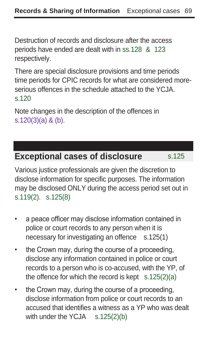Destruction of records and disclosure after the access periods have ended are dealt with in ss.128 & 123 respectively.

There are special disclosure provisions and time periods time periods for CPIC records for what are considered moreserious offences in the schedule attached to the YCJA. s.120

Note changes in the description of the offences in s.120(3)(a) & (b).

## **Exceptional cases of disclosure** s.125

Various justice professionals are given the discretion to disclose information for specific purposes. The information may be disclosed ONLY during the access period set out in s.119(2). s.125(8)

- a peace officer may disclose information contained in police or court records to any person when it is necessary for investigating an offence s.125(1)
- the Crown may, during the course of a proceeding, disclose any information contained in police or court records to a person who is co-accused, with the YP, of the offence for which the record is kept  $s.125(2)(a)$
- the Crown may, during the course of a proceeding, disclose information from police or court records to an accused that identifies a witness as a YP who was dealt with under the YCJA s.125(2)(b)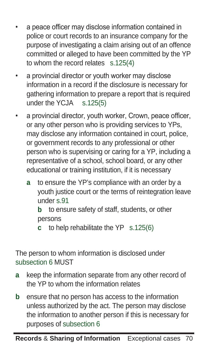- a peace officer may disclose information contained in police or court records to an insurance company for the purpose of investigating a claim arising out of an offence committed or alleged to have been committed by the YP to whom the record relates s.125(4)
- a provincial director or youth worker may disclose information in a record if the disclosure is necessary for gathering information to prepare a report that is required under the YCJA s.125(5)
- a provincial director, youth worker, Crown, peace officer, or any other person who is providing services to YPs, may disclose any information contained in court, police, or government records to any professional or other person who is supervising or caring for a YP, including a representative of a school, school board, or any other educational or training institution, if it is necessary
	- **a** to ensure the YP's compliance with an order by a youth justice court or the terms of reintegration leave under s.91

**b** to ensure safety of staff, students, or other persons

**c** to help rehabilitate the YP s.125(6)

The person to whom information is disclosed under subsection 6 MUST

- **a** keep the information separate from any other record of the YP to whom the information relates
- **b** ensure that no person has access to the information unless authorized by the act. The person may disclose the information to another person if this is necessary for purposes of subsection 6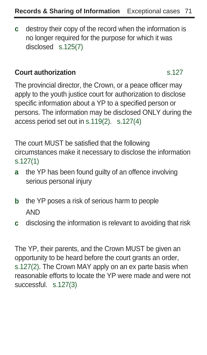**c** destroy their copy of the record when the information is no longer required for the purpose for which it was disclosed s.125(7)

#### **Court authorization** s.127

The provincial director, the Crown, or a peace officer may apply to the youth justice court for authorization to disclose specific information about a YP to a specified person or persons. The information may be disclosed ONLY during the access period set out in s.119(2). s.127(4)

The court MUST be satisfied that the following circumstances make it necessary to disclose the information s.127(1)

- **a** the YP has been found guilty of an offence involving serious personal injury
- **b** the YP poses a risk of serious harm to people AND
- **c** disclosing the information is relevant to avoiding that risk

The YP, their parents, and the Crown MUST be given an opportunity to be heard before the court grants an order, s.127(2). The Crown MAY apply on an ex parte basis when reasonable efforts to locate the YP were made and were not successful. s.127(3)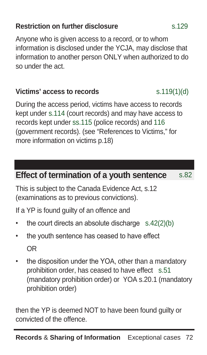## **Restriction on further disclosure** s.129

Anyone who is given access to a record, or to whom information is disclosed under the YCJA, may disclose that information to another person ONLY when authorized to do so under the act.

## **Victims' access to records** s.119(1)(d)

During the access period, victims have access to records kept under s.114 (court records) and may have access to records kept under ss.115 (police records) and 116 (government records). (see "References to Victims," for more information on victims p.18)

# **Effect of termination of a youth sentence** s.82

This is subject to the Canada Evidence Act, s.12 (examinations as to previous convictions).

If a YP is found guilty of an offence and

- the court directs an absolute discharge  $s.42(2)(b)$
- the youth sentence has ceased to have effect OR
- the disposition under the YOA, other than a mandatory prohibition order, has ceased to have effect s.51 (mandatory prohibition order) or YOA s.20.1 (mandatory prohibition order)

then the YP is deemed NOT to have been found guilty or convicted of the offence.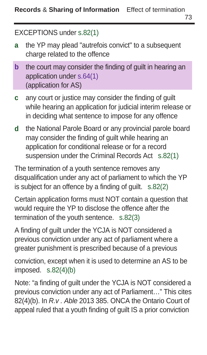37

#### EXCEPTIONS under s.82(1)

- **a** the YP may plead "autrefois convict" to a subsequent charge related to the offence
- **b** the court may consider the finding of guilt in hearing an application under s.64(1) (application for AS)
- **c** any court or justice may consider the finding of guilt while hearing an application for judicial interim release or in deciding what sentence to impose for any offence
- **d** the National Parole Board or any provincial parole board may consider the finding of guilt while hearing an application for conditional release or for a record suspension under the Criminal Records Act s.82(1)

The termination of a youth sentence removes any disqualification under any act of parliament to which the YP is subject for an offence by a finding of guilt. s.82(2)

Certain application forms must NOT contain a question that would require the YP to disclose the offence after the termination of the youth sentence. s.82(3)

A finding of guilt under the YCJA is NOT considered a previous conviction under any act of parliament where a greater punishment is prescribed because of a previous

conviction, except when it is used to determine an AS to be imposed. s.82(4)(b)

Note: "a finding of guilt under the YCJA is NOT considered a previous conviction under any act of Parliament…" This cites 82(4)(b). In R.v . Able 2013 385. ONCA the Ontario Court of appeal ruled that a youth finding of guilt IS a prior conviction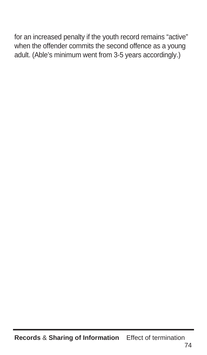for an increased penalty if the youth record remains "active" when the offender commits the second offence as a young adult. (Able's minimum went from 3-5 years accordingly.)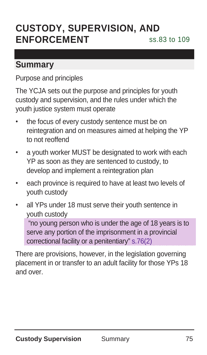# **CUSTODY, SUPERVISION, AND ENFORCEMENT** ss.83 to 109

## **Summary**

Purpose and principles

The YCJA sets out the purpose and principles for youth custody and supervision, and the rules under which the youth justice system must operate

- the focus of every custody sentence must be on reintegration and on measures aimed at helping the YP to not reoffend
- a youth worker MUST be designated to work with each YP as soon as they are sentenced to custody, to develop and implement a reintegration plan
- each province is required to have at least two levels of youth custody
- all YPs under 18 must serve their youth sentence in youth custody

"no young person who is under the age of 18 years is to serve any portion of the imprisonment in a provincial correctional facility or a penitentiary" s.76(2)

There are provisions, however, in the legislation governing placement in or transfer to an adult facility for those YPs 18 and over.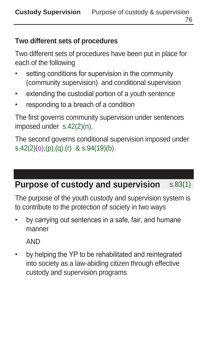## **Two different sets of procedures**

Two different sets of procedures have been put in place for each of the following

- setting conditions for supervision in the community (community supervision) and conditional supervision
- extending the custodial portion of a youth sentence
- responding to a breach of a condition

The first governs community supervision under sentences imposed under s.42(2)(n).

The second governs conditional supervision imposed under s.42(2)(o),(p),(q),(r) & s.94(19)(b).

# **Purpose of custody and supervision** s.83(1)

The purpose of the youth custody and supervision system is to contribute to the protection of society in two ways

• by carrying out sentences in a safe, fair, and humane manner

AND

• by helping the YP to be rehabilitated and reintegrated into society as a law-abiding citizen through effective custody and supervision programs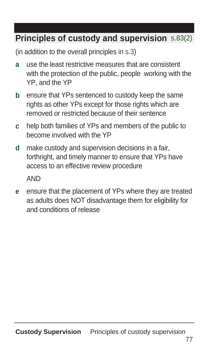# **Principles of custody and supervision** s.83(2)

(in addition to the overall principles in s.3)

- **a** use the least restrictive measures that are consistent with the protection of the public, people working with the YP, and the YP
- **b** ensure that YPs sentenced to custody keep the same rights as other YPs except for those rights which are removed or restricted because of their sentence
- **c** help both families of YPs and members of the public to become involved with the YP
- **d** make custody and supervision decisions in a fair, forthright, and timely manner to ensure that YPs have access to an effective review procedure

AND

**e** ensure that the placement of YPs where they are treated as adults does NOT disadvantage them for eligibility for and conditions of release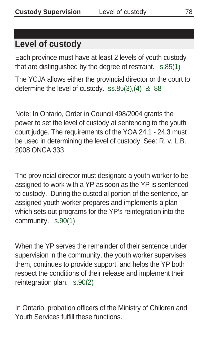# **Level of custody**

Each province must have at least 2 levels of youth custody that are distinguished by the degree of restraint. s.85(1)

The YCJA allows either the provincial director or the court to determine the level of custody. ss.85(3),(4) & 88

Note: In Ontario, Order in Council 498/2004 grants the power to set the level of custody at sentencing to the youth court judge. The requirements of the YOA 24.1 - 24.3 must be used in determining the level of custody. See: R. v. L.B. 2008 ONCA 333

The provincial director must designate a youth worker to be assigned to work with a YP as soon as the YP is sentenced to custody. During the custodial portion of the sentence, an assigned youth worker prepares and implements a plan which sets out programs for the YP's reintegration into the community. s.90(1)

When the YP serves the remainder of their sentence under supervision in the community, the youth worker supervises them, continues to provide support, and helps the YP both respect the conditions of their release and implement their reintegration plan. s.90(2)

In Ontario, probation officers of the Ministry of Children and Youth Services fulfill these functions.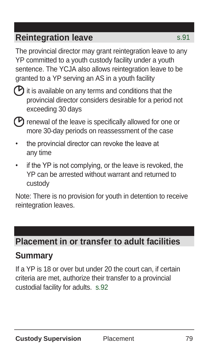# **Reintegration leave** s.91

The provincial director may grant reintegration leave to any YP committed to a youth custody facility under a youth sentence. The YCJA also allows reintegration leave to be granted to a YP serving an AS in a youth facility



 $\triangleright$  it is available on any terms and conditions that the provincial director considers desirable for a period not exceeding 30 days



 $\mathcal P$  renewal of the leave is specifically allowed for one or more 30-day periods on reassessment of the case

- the provincial director can revoke the leave at any time
- if the YP is not complying, or the leave is revoked, the YP can be arrested without warrant and returned to custody

Note: There is no provision for youth in detention to receive reintegration leaves.

# **Placement in or transfer to adult facilities**

## **Summary**

If a YP is 18 or over but under 20 the court can, if certain criteria are met, authorize their transfer to a provincial custodial facility for adults. s.92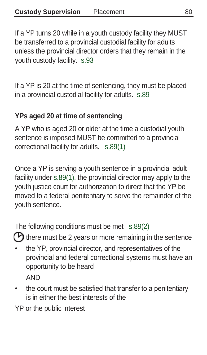If a YP turns 20 while in a youth custody facility they MUST be transferred to a provincial custodial facility for adults unless the provincial director orders that they remain in the youth custody facility. s.93

If a YP is 20 at the time of sentencing, they must be placed in a provincial custodial facility for adults. s.89

### **YPs aged 20 at time of sentencing**

A YP who is aged 20 or older at the time a custodial youth sentence is imposed MUST be committed to a provincial correctional facility for adults. s.89(1)

Once a YP is serving a youth sentence in a provincial adult facility under s.89(1), the provincial director may apply to the youth justice court for authorization to direct that the YP be moved to a federal penitentiary to serve the remainder of the youth sentence.

The following conditions must be met s.89(2)

 $\heartsuit$  there must be 2 years or more remaining in the sentence

- the YP, provincial director, and representatives of the provincial and federal correctional systems must have an opportunity to be heard **AND**
- the court must be satisfied that transfer to a penitentiary is in either the best interests of the

YP or the public interest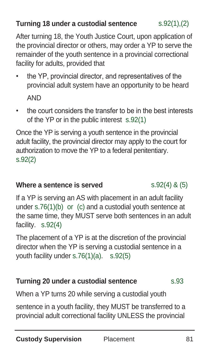## **Turning 18 under a custodial sentence** s.92(1),(2)

After turning 18, the Youth Justice Court, upon application of the provincial director or others, may order a YP to serve the remainder of the youth sentence in a provincial correctional facility for adults, provided that

- the YP, provincial director, and representatives of the provincial adult system have an opportunity to be heard AND
- the court considers the transfer to be in the best interests of the YP or in the public interest s.92(1)

Once the YP is serving a youth sentence in the provincial adult facility, the provincial director may apply to the court for authorization to move the YP to a federal penitentiary. s.92(2)

#### **Where a sentence is served**  $s.92(4)$  &  $(5)$

If a YP is serving an AS with placement in an adult facility under s.76(1)(b) or (c) and a custodial youth sentence at the same time, they MUST serve both sentences in an adult facility. s.92(4)

The placement of a YP is at the discretion of the provincial director when the YP is serving a custodial sentence in a youth facility under s.76(1)(a). s.92(5)

## **Turning 20 under a custodial sentence** s.93

When a YP turns 20 while serving a custodial youth

sentence in a youth facility, they MUST be transferred to a provincial adult correctional facility UNLESS the provincial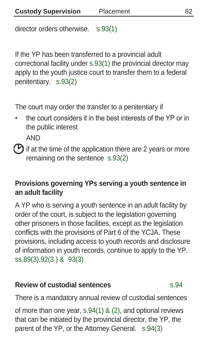director orders otherwise. s.93(1)

If the YP has been transferred to a provincial adult correctional facility under s.93(1) the provincial director may apply to the youth justice court to transfer them to a federal penitentiary. s.93(2)

The court may order the transfer to a penitentiary if

• the court considers it in the best interests of the YP or in the public interest

AND

 $\mathcal P$  if at the time of the application there are 2 years or more remaining on the sentence s.93(2)

### **Provisions governing YPs serving a youth sentence in an adult facility**

A YP who is serving a youth sentence in an adult facility by order of the court, is subject to the legislation governing other prisoners in those facilities, except as the legislation conflicts with the provisions of Part 6 of the YCJA. These provisions, including access to youth records and disclosure of information in youth records, continue to apply to the YP. ss.89(3),92(3 ) & 93(3)

## **Review of custodial sentences** s.94

There is a mandatory annual review of custodial sentences

of more than one year, s.94(1) & (2), and optional reviews that can be initiated by the provincial director, the YP, the parent of the YP, or the Attorney General. s.94(3)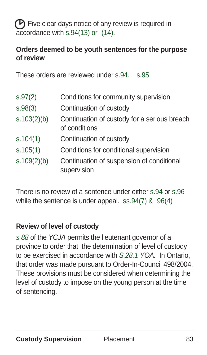$(P)$  Five clear days notice of any review is required in accordance with s.94(13) or (14).

## **Orders deemed to be youth sentences for the purpose of review**

These orders are reviewed under s.94. s.95

| s.97(2)     | Conditions for community supervision                          |
|-------------|---------------------------------------------------------------|
| S.98(3)     | Continuation of custody                                       |
| s.103(2)(b) | Continuation of custody for a serious breach<br>of conditions |
| s.104(1)    | Continuation of custody                                       |
| s.105(1)    | Conditions for conditional supervision                        |
| s.109(2)(b) | Continuation of suspension of conditional<br>supervision      |

There is no review of a sentence under either s.94 or s.96 while the sentence is under appeal. ss.94(7) & 96(4)

## **Review of level of custody**

s.88 of the YCJA permits the lieutenant governor of a province to order that the determination of level of custody to be exercised in accordance with S.28.1 YOA. In Ontario, that order was made pursuant to Order-In-Council 498/2004. These provisions must be considered when determining the level of custody to impose on the young person at the time of sentencing.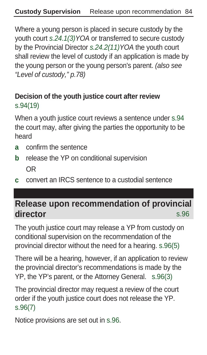Where a young person is placed in secure custody by the youth court s.24.1(3)YOA or transferred to secure custody by the Provincial Director s.24.2(11)YOA the youth court shall review the level of custody if an application is made by the young person or the young person's parent. (also see "Level of custody," p.78)

## **Decision of the youth justice court after review**  s.94(19)

When a youth justice court reviews a sentence under s.94 the court may, after giving the parties the opportunity to be heard

- **a** confirm the sentence
- **b** release the YP on conditional supervision OR
- **c** convert an IRCS sentence to a custodial sentence

# **Release upon recommendation of provincial director** s.96

The youth justice court may release a YP from custody on conditional supervision on the recommendation of the provincial director without the need for a hearing. s.96(5)

There will be a hearing, however, if an application to review the provincial director's recommendations is made by the YP, the YP's parent, or the Attorney General. s.96(3)

The provincial director may request a review of the court order if the youth justice court does not release the YP. s.96(7)

Notice provisions are set out in s.96.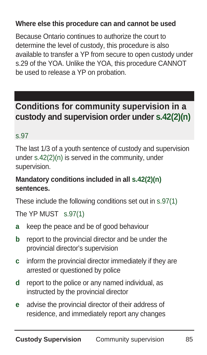## **Where else this procedure can and cannot be used**

Because Ontario continues to authorize the court to determine the level of custody, this procedure is also available to transfer a YP from secure to open custody under s.29 of the YOA. Unlike the YOA, this procedure CANNOT be used to release a YP on probation.

# **Conditions for community supervision in a custody and supervision order under s.42(2)(n)**

#### s.97

The last 1/3 of a youth sentence of custody and supervision under s.42(2)(n) is served in the community, under supervision.

### **Mandatory conditions included in all s.42(2)(n) sentences.**

These include the following conditions set out in s.97(1)

The YP MUST s.97(1)

- **a** keep the peace and be of good behaviour
- **b** report to the provincial director and be under the provincial director's supervision
- **c** inform the provincial director immediately if they are arrested or questioned by police
- **d** report to the police or any named individual, as instructed by the provincial director
- **e** advise the provincial director of their address of residence, and immediately report any changes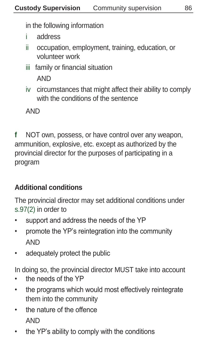in the following information

- i address
- ii occupation, employment, training, education, or volunteer work
- iii family or financial situation AND
- iv circumstances that might affect their ability to comply with the conditions of the sentence

AND

**f** NOT own, possess, or have control over any weapon, ammunition, explosive, etc. except as authorized by the provincial director for the purposes of participating in a program

## **Additional conditions**

The provincial director may set additional conditions under s.97(2) in order to

- support and address the needs of the YP
- promote the YP's reintegration into the community AND
- adequately protect the public

In doing so, the provincial director MUST take into account

- the needs of the YP
- the programs which would most effectively reintegrate them into the community
- the nature of the offence AND
- the YP's ability to comply with the conditions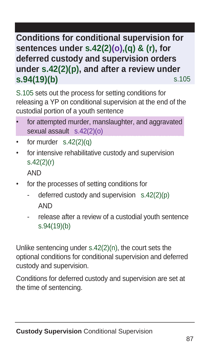# **Conditions for conditional supervision for sentences under s.42(2)(o),(q) & (r), for deferred custody and supervision orders under s.42(2)(p), and after a review under s.94(19)(b)** s.105

S.105 sets out the process for setting conditions for releasing a YP on conditional supervision at the end of the custodial portion of a youth sentence

- for attempted murder, manslaughter, and aggravated sexual assault s.42(2)(o)
- for murder  $s.42(2)(q)$
- for intensive rehabilitative custody and supervision s.42(2)(r)

AND

- for the processes of setting conditions for
	- deferred custody and supervision  $s.42(2)(p)$ AND
	- release after a review of a custodial youth sentence s.94(19)(b)

Unlike sentencing under s.42(2)(n), the court sets the optional conditions for conditional supervision and deferred custody and supervision.

Conditions for deferred custody and supervision are set at the time of sentencing.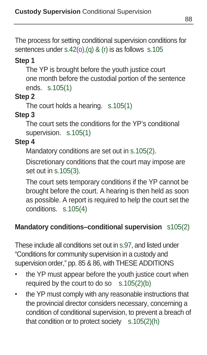The process for setting conditional supervision conditions for sentences under s.42(o),(a) & (r) is as follows s.105

#### **Step 1**

The YP is brought before the youth justice court one month before the custodial portion of the sentence ends. s.105(1)

### **Step 2**

The court holds a hearing. s.105(1)

## **Step 3**

The court sets the conditions for the YP's conditional supervision. s.105(1)

## **Step 4**

Mandatory conditions are set out in s.105(2).

Discretionary conditions that the court may impose are set out in s.105(3).

The court sets temporary conditions if the YP cannot be brought before the court. A hearing is then held as soon as possible. A report is required to help the court set the conditions. s.105(4)

## **Mandatory conditions–conditional supervision** s105(2)

These include all conditions set out in s.97, and listed under "Conditions for community supervision in a custody and supervision order," pp. 85 & 86, with THESE ADDITIONS

- the YP must appear before the youth justice court when required by the court to do so  $s.105(2)(b)$
- the YP must comply with any reasonable instructions that the provincial director considers necessary, concerning a condition of conditional supervision, to prevent a breach of that condition or to protect society  $s.105(2)(h)$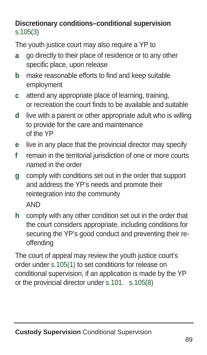## **Discretionary conditions–conditional supervision** s.105(3)

The youth justice court may also require a YP to

- **a** go directly to their place of residence or to any other specific place, upon release
- **b** make reasonable efforts to find and keep suitable employment
- **c** attend any appropriate place of learning, training, or recreation the court finds to be available and suitable
- **d** live with a parent or other appropriate adult who is willing to provide for the care and maintenance of the YP
- **e** live in any place that the provincial director may specify
- **f** remain in the territorial jurisdiction of one or more courts named in the order
- **g** comply with conditions set out in the order that support and address the YP's needs and promote their reintegration into the community

AND

**h** comply with any other condition set out in the order that the court considers appropriate, including conditions for securing the YP's good conduct and preventing their reoffending

The court of appeal may review the youth justice court's order under s.105(1) to set conditions for release on conditional supervision, if an application is made by the YP or the provincial director under s.101. s.105(8)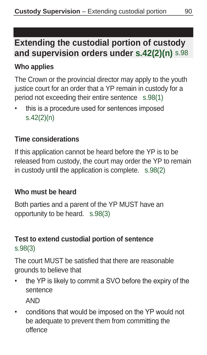# **Extending the custodial portion of custody and supervision orders under s.42(2)(n)** s.98

### **Who applies**

The Crown or the provincial director may apply to the youth justice court for an order that a YP remain in custody for a period not exceeding their entire sentence s.98(1)

this is a procedure used for sentences imposed s.42(2)(n)

#### **Time considerations**

If this application cannot be heard before the YP is to be released from custody, the court may order the YP to remain in custody until the application is complete. s.98(2)

#### **Who must be heard**

Both parties and a parent of the YP MUST have an opportunity to be heard. s.98(3)

## **Test to extend custodial portion of sentence**  s.98(3)

The court MUST be satisfied that there are reasonable grounds to believe that

the YP is likely to commit a SVO before the expiry of the sentence

AND

• conditions that would be imposed on the YP would not be adequate to prevent them from committing the offence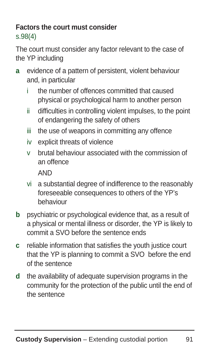#### **Factors the court must consider**  s.98(4)

The court must consider any factor relevant to the case of the YP including

- **a** evidence of a pattern of persistent, violent behaviour and, in particular
	- the number of offences committed that caused physical or psychological harm to another person
	- ii difficulties in controlling violent impulses, to the point of endangering the safety of others
	- iii the use of weapons in committing any offence
	- iv explicit threats of violence
	- v brutal behaviour associated with the commission of an offence

AND

- vi a substantial degree of indifference to the reasonably foreseeable consequences to others of the YP's behaviour
- **b** psychiatric or psychological evidence that, as a result of a physical or mental illness or disorder, the YP is likely to commit a SVO before the sentence ends
- **c** reliable information that satisfies the youth justice court that the YP is planning to commit a SVO before the end of the sentence
- **d** the availability of adequate supervision programs in the community for the protection of the public until the end of the sentence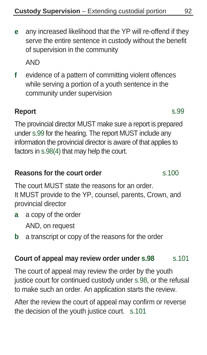**e** any increased likelihood that the YP will re-offend if they serve the entire sentence in custody without the benefit of supervision in the community

AND

**f** evidence of a pattern of committing violent offences while serving a portion of a youth sentence in the community under supervision

## **Report** s.99

The provincial director MUST make sure a report is prepared under s.99 for the hearing. The report MUST include any information the provincial director is aware of that applies to factors in s.98(4) that may help the court.

#### **Reasons for the court order s.100**

The court MUST state the reasons for an order. It MUST provide to the YP, counsel, parents, Crown, and provincial director

- **a** a copy of the order AND, on request
- **b** a transcript or copy of the reasons for the order

#### **Court of appeal may review order under s.98** s.101

The court of appeal may review the order by the youth justice court for continued custody under s.98, or the refusal to make such an order. An application starts the review.

After the review the court of appeal may confirm or reverse the decision of the youth justice court. s.101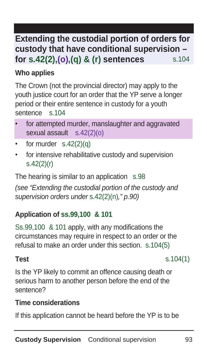# **custody that have conditional supervision – for s.42(2),(o),(q) & (r) sentences** s.104 **Extending the custodial portion of orders for**

## **Who applies**

The Crown (not the provincial director) may apply to the youth justice court for an order that the YP serve a longer period or their entire sentence in custody for a youth sentence s.104

- for attempted murder, manslaughter and aggravated sexual assault s.42(2)(o)
- for murder  $s.42(2)(q)$
- for intensive rehabilitative custody and supervision s.42(2)(r)

The hearing is similar to an application s.98 (see "Extending the custodial portion of the custody and supervision orders under s.42(2)(n)," p.90)

## **Application of ss.99,100 & 101**

Ss.99,100 & 101 apply, with any modifications the circumstances may require in respect to an order or the refusal to make an order under this section. s.104(5)

**Test** s.104(1)

Is the YP likely to commit an offence causing death or serious harm to another person before the end of the sentence?

## **Time considerations**

If this application cannot be heard before the YP is to be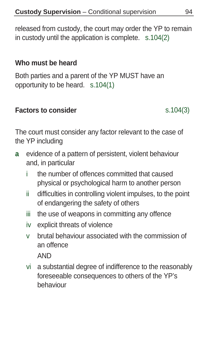released from custody, the court may order the YP to remain in custody until the application is complete. s.104(2)

#### **Who must be heard**

Both parties and a parent of the YP MUST have an opportunity to be heard. s.104(1)

#### **Factors to consider** s.104(3)

The court must consider any factor relevant to the case of the YP including

- **a** evidence of a pattern of persistent, violent behaviour and, in particular
	- i the number of offences committed that caused physical or psychological harm to another person
	- ii difficulties in controlling violent impulses, to the point of endangering the safety of others
	- iii the use of weapons in committing any offence
	- iv explicit threats of violence
	- v brutal behaviour associated with the commission of an offence

AND

vi a substantial degree of indifference to the reasonably foreseeable consequences to others of the YP's behaviour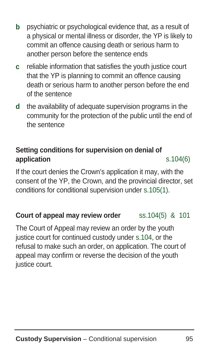- **b** psychiatric or psychological evidence that, as a result of a physical or mental illness or disorder, the YP is likely to commit an offence causing death or serious harm to another person before the sentence ends
- **c** reliable information that satisfies the youth justice court that the YP is planning to commit an offence causing death or serious harm to another person before the end of the sentence
- **d** the availability of adequate supervision programs in the community for the protection of the public until the end of the sentence

## **Setting conditions for supervision on denial of application** s.104(6)

If the court denies the Crown's application it may, with the consent of the YP, the Crown, and the provincial director, set conditions for conditional supervision under s.105(1).

## **Court of appeal may review order** ss.104(5) & 101

The Court of Appeal may review an order by the youth justice court for continued custody under s.104, or the refusal to make such an order, on application. The court of appeal may confirm or reverse the decision of the youth justice court.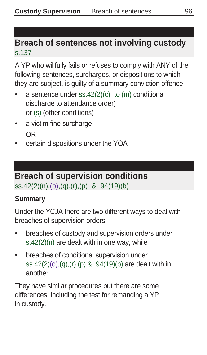# **Breach of sentences not involving custody**  s.137

A YP who willfully fails or refuses to comply with ANY of the following sentences, surcharges, or dispositions to which they are subject, is guilty of a summary conviction offence

- a sentence under ss.42(2)(c) to (m) conditional discharge to attendance order) or (s) (other conditions)
- a victim fine surcharge OR
- certain dispositions under the YOA

## **Breach of supervision conditions**  ss.42(2)(n),(o),(q),(r),(p) & 94(19)(b)

## **Summary**

Under the YCJA there are two different ways to deal with breaches of supervision orders

- breaches of custody and supervision orders under s.42(2)(n) are dealt with in one way, while
- breaches of conditional supervision under ss.42(2)(o),(q),(r),(p) & 94(19)(b) are dealt with in another

They have similar procedures but there are some differences, including the test for remanding a YP in custody.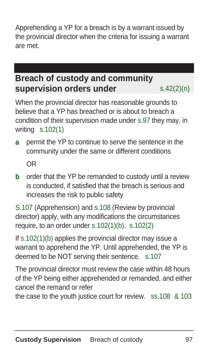Apprehending a YP for a breach is by a warrant issued by the provincial director when the criteria for issuing a warrant are met.

# **Breach of custody and community supervision orders under** s.42(2)(n)

When the provincial director has reasonable grounds to believe that a YP has breached or is about to breach a condition of their supervision made under s.97 they may, in writing s.102(1)

**a** permit the YP to continue to serve the sentence in the community under the same or different conditions

OR

**b** order that the YP be remanded to custody until a review is conducted, if satisfied that the breach is serious and increases the risk to public safety

S.107 (Apprehension) and s.108 (Review by provincial director) apply, with any modifications the circumstances require, to an order under s.102(1)(b). s.102(2)

If s.102(1)(b) applies the provincial director may issue a warrant to apprehend the YP. Until apprehended, the YP is deemed to be NOT serving their sentence. s.107

The provincial director must review the case within 48 hours of the YP being either apprehended or remanded, and either cancel the remand or refer

the case to the youth justice court for review. ss.108 & 103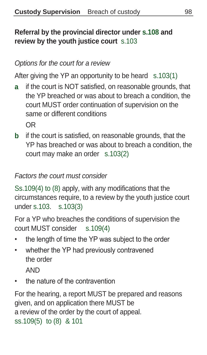## **Referral by the provincial director under s.108 and review by the youth justice court** s.103

## Options for the court for a review

After giving the YP an opportunity to be heard s.103(1)

**a** if the court is NOT satisfied, on reasonable grounds, that the YP breached or was about to breach a condition, the court MUST order continuation of supervision on the same or different conditions

OR

**b** if the court is satisfied, on reasonable grounds, that the YP has breached or was about to breach a condition, the court may make an order s.103(2)

### Factors the court must consider

Ss.109(4) to (8) apply, with any modifications that the circumstances require, to a review by the youth justice court under s.103. s.103(3)

For a YP who breaches the conditions of supervision the court MUST consider s.109(4)

- the length of time the YP was subject to the order
- whether the YP had previously contravened the order AND
- the nature of the contravention

For the hearing, a report MUST be prepared and reasons given, and on application there MUST be a review of the order by the court of appeal. ss.109(5) to (8) & 101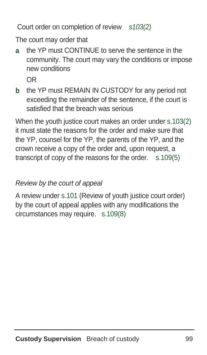Court order on completion of review s103(2)

The court may order that

**a** the YP must CONTINUE to serve the sentence in the community. The court may vary the conditions or impose new conditions OR

**b** the YP must REMAIN IN CUSTODY for any period not exceeding the remainder of the sentence, if the court is satisfied that the breach was serious

When the youth justice court makes an order under s.103(2) it must state the reasons for the order and make sure that the YP, counsel for the YP, the parents of the YP, and the crown receive a copy of the order and, upon request, a transcript of copy of the reasons for the order. s.109(5)

#### Review by the court of appeal

A review under s.101 (Review of youth justice court order) by the court of appeal applies with any modifications the circumstances may require. s.109(8)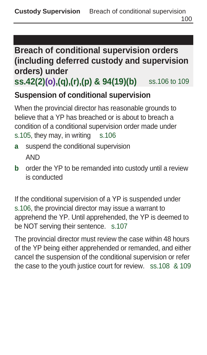#### **Breach of conditional supervision orders (including deferred custody and supervision orders) under**

**ss.42(2)(o),(q),(r),(p) & 94(19)(b)** ss.106 to 109

#### **Suspension of conditional supervision**

When the provincial director has reasonable grounds to believe that a YP has breached or is about to breach a condition of a conditional supervision order made under s.105, they may, in writing s.106

- **a** suspend the conditional supervision AND
- **b** order the YP to be remanded into custody until a review is conducted

If the conditional supervision of a YP is suspended under s.106, the provincial director may issue a warrant to apprehend the YP. Until apprehended, the YP is deemed to be NOT serving their sentence. s.107

The provincial director must review the case within 48 hours of the YP being either apprehended or remanded, and either cancel the suspension of the conditional supervision or refer the case to the youth justice court for review. ss.108 & 109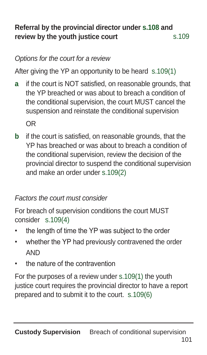#### **Referral by the provincial director under s.108 and review by the youth justice court** s.109

#### Options for the court for a review

After giving the YP an opportunity to be heard s.109(1)

**a** if the court is NOT satisfied, on reasonable grounds, that the YP breached or was about to breach a condition of the conditional supervision, the court MUST cancel the suspension and reinstate the conditional supervision

OR

**b** if the court is satisfied, on reasonable grounds, that the YP has breached or was about to breach a condition of the conditional supervision, review the decision of the provincial director to suspend the conditional supervision and make an order under s.109(2)

#### Factors the court must consider

For breach of supervision conditions the court MUST consider s.109(4)

- the length of time the YP was subject to the order
- whether the YP had previously contravened the order AND
- the nature of the contravention

For the purposes of a review under s.109(1) the youth justice court requires the provincial director to have a report prepared and to submit it to the court. s.109(6)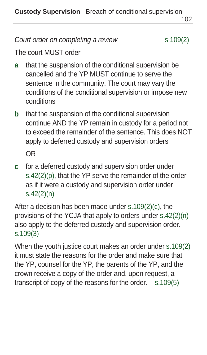**Custody Supervision** Breach of conditional supervision

102

Court order on completing a review s.109(2)

The court MUST order

- **a** that the suspension of the conditional supervision be cancelled and the YP MUST continue to serve the sentence in the community. The court may vary the conditions of the conditional supervision or impose new conditions
- **b** that the suspension of the conditional supervision continue AND the YP remain in custody for a period not to exceed the remainder of the sentence. This does NOT apply to deferred custody and supervision orders

OR

**c** for a deferred custody and supervision order under s.42(2)(p), that the YP serve the remainder of the order as if it were a custody and supervision order under s.42(2)(n)

After a decision has been made under s.109(2)(c), the provisions of the YCJA that apply to orders under s.42(2)(n) also apply to the deferred custody and supervision order. s.109(3)

When the youth justice court makes an order under s.109(2) it must state the reasons for the order and make sure that the YP, counsel for the YP, the parents of the YP, and the crown receive a copy of the order and, upon request, a transcript of copy of the reasons for the order. s.109(5)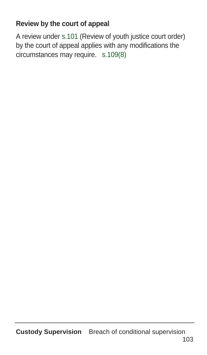#### **Review by the court of appeal**

A review under s.101 (Review of youth justice court order) by the court of appeal applies with any modifications the circumstances may require. s.109(8)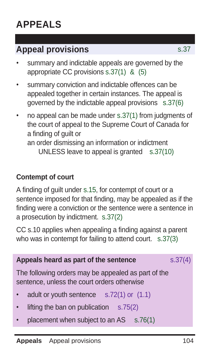### **Appeal provisions** s.37

- summary and indictable appeals are governed by the appropriate CC provisions s.37(1) & (5)
- summary conviction and indictable offences can be appealed together in certain instances. The appeal is governed by the indictable appeal provisions s.37(6)
- no appeal can be made under s.37(1) from judgments of the court of appeal to the Supreme Court of Canada for a finding of guilt or an order dismissing an information or indictment UNLESS leave to appeal is granted s.37(10)

#### **Contempt of court**

A finding of guilt under s.15, for contempt of court or a sentence imposed for that finding, may be appealed as if the finding were a conviction or the sentence were a sentence in a prosecution by indictment. s.37(2)

CC s.10 applies when appealing a finding against a parent who was in contempt for failing to attend court. s.37(3)

| Appeals heard as part of the sentence                                                              | s.37(4) |
|----------------------------------------------------------------------------------------------------|---------|
| The following orders may be appealed as part of the<br>sentence, unless the court orders otherwise |         |
| • adult or youth sentence $s.72(1)$ or $(1.1)$                                                     |         |
| lifting the ban on publication $s.75(2)$<br>$\bullet$                                              |         |
| placement when subject to an $AS$ s.76(1)<br>$\bullet$                                             |         |
|                                                                                                    |         |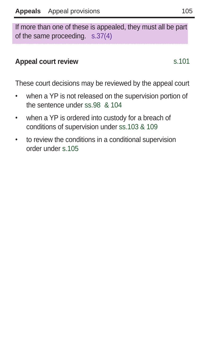If more than one of these is appealed, they must all be part of the same proceeding. s.37(4)

#### **Appeal court review** s.101

These court decisions may be reviewed by the appeal court

- when a YP is not released on the supervision portion of the sentence under ss.98 & 104
- when a YP is ordered into custody for a breach of conditions of supervision under ss.103 & 109
- to review the conditions in a conditional supervision order under s.105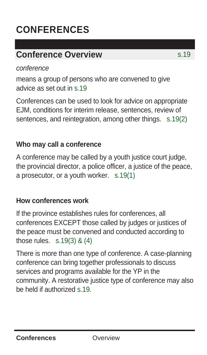## **CONFERENCES**

### **Conference Overview** s.19

conference

means a group of persons who are convened to give advice as set out in s.19

Conferences can be used to look for advice on appropriate EJM, conditions for interim release, sentences, review of sentences, and reintegration, among other things. s.19(2)

#### **Who may call a conference**

A conference may be called by a youth justice court judge, the provincial director, a police officer, a justice of the peace, a prosecutor, or a youth worker. s.19(1)

#### **How conferences work**

If the province establishes rules for conferences, all conferences EXCEPT those called by judges or justices of the peace must be convened and conducted according to those rules. s.19(3) & (4)

There is more than one type of conference. A case-planning conference can bring together professionals to discuss services and programs available for the YP in the community. A restorative justice type of conference may also be held if authorized s.19.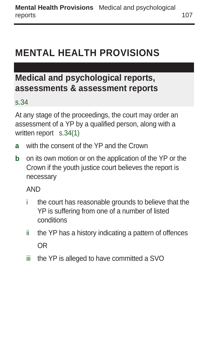### **MENTAL HEALTH PROVISIONS**

### **Medical and psychological reports, assessments & assessment reports**

#### s.34

At any stage of the proceedings, the court may order an assessment of a YP by a qualified person, along with a written report s.34(1)

- **a** with the consent of the YP and the Crown
- **b** on its own motion or on the application of the YP or the Crown if the youth justice court believes the report is necessary

AND

- i the court has reasonable grounds to believe that the YP is suffering from one of a number of listed conditions
- ii the YP has a history indicating a pattern of offences OR
- iii the YP is alleged to have committed a SVO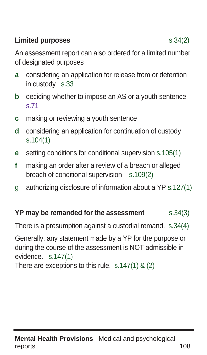#### **Limited purposes** s.34(2)

An assessment report can also ordered for a limited number of designated purposes

- **a** considering an application for release from or detention in custody s.33
- **b** deciding whether to impose an AS or a youth sentence s.71
- **c** making or reviewing a youth sentence
- **d** considering an application for continuation of custody s.104(1)
- **e** setting conditions for conditional supervision s.105(1)
- **f** making an order after a review of a breach or alleged breach of conditional supervision s.109(2)
- g authorizing disclosure of information about a YP s.127(1)

#### **YP may be remanded for the assessment** s.34(3)

There is a presumption against a custodial remand. s.34(4)

Generally, any statement made by a YP for the purpose or during the course of the assessment is NOT admissible in evidence. s.147(1)

There are exceptions to this rule. s.147(1) & (2)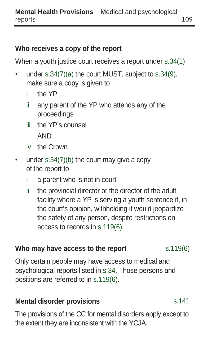#### **Who receives a copy of the report**

When a youth justice court receives a report under s.34(1)

- under s.34(7)(a) the court MUST, subject to s.34(9), make sure a copy is given to
	- i the YP
	- ii any parent of the YP who attends any of the proceedings
	- iii the YP's counsel AND
	- iv the Crown
- under s.34(7)(b) the court may give a copy of the report to
	- i a parent who is not in court
	- ii the provincial director or the director of the adult facility where a YP is serving a youth sentence if, in the court's opinion, withholding it would jeopardize the safety of any person, despite restrictions on access to records in s.119(6)

#### **Who may have access to the report** s.119(6)

Only certain people may have access to medical and psychological reports listed in s.34. Those persons and positions are referred to in s.119(6).

#### **Mental disorder provisions** s.141

The provisions of the CC for mental disorders apply except to the extent they are inconsistent with the YCJA.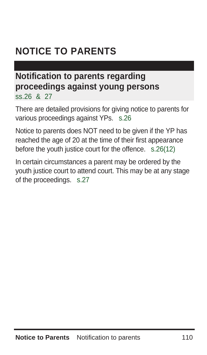### **NOTICE TO PARENTS**

#### **Notification to parents regarding proceedings against young persons**  ss.26 & 27

There are detailed provisions for giving notice to parents for various proceedings against YPs. s.26

Notice to parents does NOT need to be given if the YP has reached the age of 20 at the time of their first appearance before the youth justice court for the offence. s.26(12)

In certain circumstances a parent may be ordered by the youth justice court to attend court. This may be at any stage of the proceedings. s.27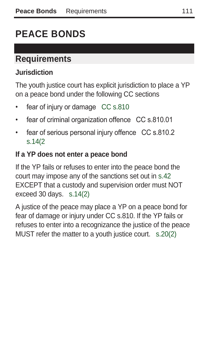# **PEACE BONDS**

### **Requirements**

#### **Jurisdiction**

The youth justice court has explicit jurisdiction to place a YP on a peace bond under the following CC sections

- fear of injury or damage CC s.810
- fear of criminal organization offence CC s.810.01
- fear of serious personal injury offence CC s.810.2 s.14(2

#### **If a YP does not enter a peace bond**

If the YP fails or refuses to enter into the peace bond the court may impose any of the sanctions set out in s.42 EXCEPT that a custody and supervision order must NOT exceed 30 days. s.14(2)

A justice of the peace may place a YP on a peace bond for fear of damage or injury under CC s.810. If the YP fails or refuses to enter into a recognizance the justice of the peace MUST refer the matter to a youth justice court. s.20(2)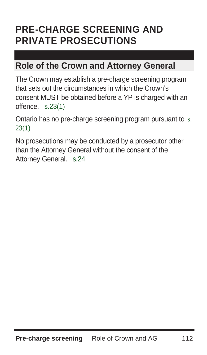### **PRE-CHARGE SCREENING AND PRIVATE PROSECUTIONS**

#### **Role of the Crown and Attorney General**

The Crown may establish a pre-charge screening program that sets out the circumstances in which the Crown's consent MUST be obtained before a YP is charged with an offence. s.23(1)

Ontario has no pre-charge screening program pursuant to s. 23(1)

No prosecutions may be conducted by a prosecutor other than the Attorney General without the consent of the Attorney General. s.24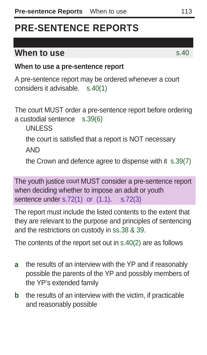### **PRE-SENTENCE REPORTS**

#### **When to use** s.40

#### **When to use a pre-sentence report**

A pre-sentence report may be ordered whenever a court considers it advisable. s.40(1)

The court MUST order a pre-sentence report before ordering a custodial sentence s.39(6)

UNLESS

the court is satisfied that a report is NOT necessary

AND

the Crown and defence agree to dispense with it s.39(7)

The youth justice court MUST consider a pre-sentence report when deciding whether to impose an adult or youth sentence under s.72(1) or (1.1). s.72(3)

The report must include the listed contents to the extent that they are relevant to the purpose and principles of sentencing and the restrictions on custody in ss.38 & 39.

The contents of the report set out in s.40(2) are as follows

- **a** the results of an interview with the YP and if reasonably possible the parents of the YP and possibly members of the YP's extended family
- **b** the results of an interview with the victim, if practicable and reasonably possible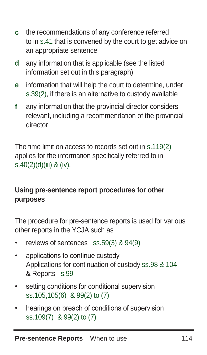- **c** the recommendations of any conference referred to in s.41 that is convened by the court to get advice on an appropriate sentence
- **d** any information that is applicable (see the listed information set out in this paragraph)
- **e** information that will help the court to determine, under s.39(2), if there is an alternative to custody available
- **f** any information that the provincial director considers relevant, including a recommendation of the provincial director

The time limit on access to records set out in s.119(2) applies for the information specifically referred to in s.40(2)(d)(iii) & (iv).

#### **Using pre-sentence report procedures for other purposes**

The procedure for pre-sentence reports is used for various other reports in the YCJA such as

- reviews of sentences ss.59(3) & 94(9)
- applications to continue custody Applications for continuation of custody ss.98 & 104 & Reports s.99
- setting conditions for conditional supervision ss.105,105(6) & 99(2) to (7)
- hearings on breach of conditions of supervision ss.109(7) & 99(2) to (7)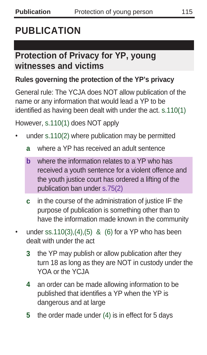### **PUBLICATION**

### **Protection of Privacy for YP, young witnesses and victims**

#### **Rules governing the protection of the YP's privacy**

General rule: The YCJA does NOT allow publication of the name or any information that would lead a YP to be identified as having been dealt with under the act. s.110(1)

However, s.110(1) does NOT apply

- under s.110(2) where publication may be permitted
	- **a** where a YP has received an adult sentence
	- **b** where the information relates to a YP who has received a youth sentence for a violent offence and the youth justice court has ordered a lifting of the publication ban under s.75(2)
	- **c** in the course of the administration of justice IF the purpose of publication is something other than to have the information made known in the community
- under ss.110(3),(4),(5) & (6) for a YP who has been dealt with under the act
	- **3** the YP may publish or allow publication after they turn 18 as long as they are NOT in custody under the YOA or the YCJA
	- **4** an order can be made allowing information to be published that identifies a YP when the YP is dangerous and at large
	- **5** the order made under (4) is in effect for 5 days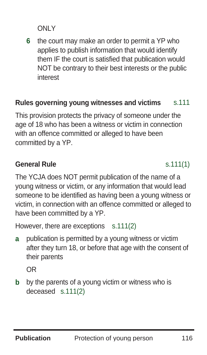ONLY

**6** the court may make an order to permit a YP who applies to publish information that would identify them IF the court is satisfied that publication would NOT be contrary to their best interests or the public interest

#### **Rules governing young witnesses and victims** s.111

This provision protects the privacy of someone under the age of 18 who has been a witness or victim in connection with an offence committed or alleged to have been committed by a YP.

#### **General Rule** s.111(1)

The YCJA does NOT permit publication of the name of a young witness or victim, or any information that would lead someone to be identified as having been a young witness or victim, in connection with an offence committed or alleged to have been committed by a YP.

However, there are exceptions s.111(2)

**a** publication is permitted by a young witness or victim after they turn 18, or before that age with the consent of their parents

OR

**b** by the parents of a young victim or witness who is deceased s.111(2)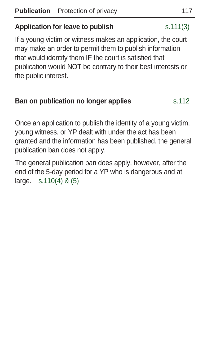#### **Application for leave to publish** s.111(3)

If a young victim or witness makes an application, the court may make an order to permit them to publish information that would identify them IF the court is satisfied that publication would NOT be contrary to their best interests or the public interest.

#### **Ban on publication no longer applies** s.112

Once an application to publish the identity of a young victim, young witness, or YP dealt with under the act has been granted and the information has been published, the general publication ban does not apply.

The general publication ban does apply, however, after the end of the 5-day period for a YP who is dangerous and at large. s.110(4) & (5)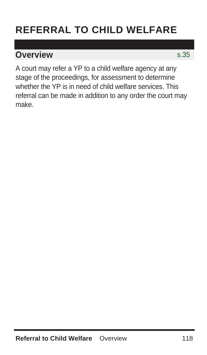## **REFERRAL TO CHILD WELFARE**

#### **Overview** s.35

A court may refer a YP to a child welfare agency at any stage of the proceedings, for assessment to determine whether the YP is in need of child welfare services. This referral can be made in addition to any order the court may make.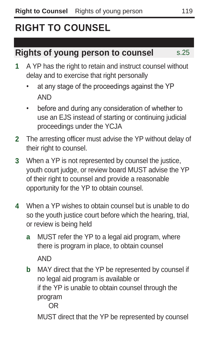## **RIGHT TO COUNSEL**

#### **Rights of young person to counsel** s.25

- **1** A YP has the right to retain and instruct counsel without delay and to exercise that right personally
	- at any stage of the proceedings against the YP AND
	- before and during any consideration of whether to use an EJS instead of starting or continuing judicial proceedings under the YCJA
- **2** The arresting officer must advise the YP without delay of their right to counsel.
- **3** When a YP is not represented by counsel the justice, youth court judge, or review board MUST advise the YP of their right to counsel and provide a reasonable opportunity for the YP to obtain counsel.
- **4** When a YP wishes to obtain counsel but is unable to do so the youth justice court before which the hearing, trial, or review is being held
	- **a** MUST refer the YP to a legal aid program, where there is program in place, to obtain counsel AND
	- **b** MAY direct that the YP be represented by counsel if no legal aid program is available or if the YP is unable to obtain counsel through the program

OR

MUST direct that the YP be represented by counsel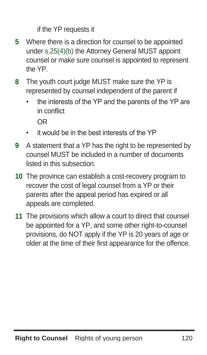if the YP requests it

- **5** Where there is a direction for counsel to be appointed under s.25(4)(b) the Attorney General MUST appoint counsel or make sure counsel is appointed to represent the YP.
- **8** The youth court judge MUST make sure the YP is represented by counsel independent of the parent if
	- the interests of the YP and the parents of the YP are in conflict

OR

- it would be in the best interests of the YP
- **9** A statement that a YP has the right to be represented by counsel MUST be included in a number of documents listed in this subsection.
- **10** The province can establish a cost-recovery program to recover the cost of legal counsel from a YP or their parents after the appeal period has expired or all appeals are completed.
- **11** The provisions which allow a court to direct that counsel be appointed for a YP, and some other right-to-counsel provisions, do NOT apply if the YP is 20 years of age or older at the time of their first appearance for the offence.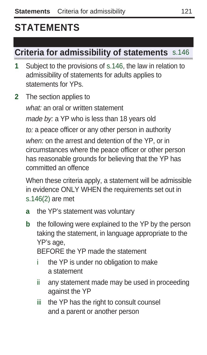## **STATEMENTS**

### **Criteria for admissibility of statements** s.146

**1** Subject to the provisions of s.146, the law in relation to admissibility of statements for adults applies to statements for YPs.

**2** The section applies to what: an oral or written statement made by: a YP who is less than 18 years old to: a peace officer or any other person in authority when: on the arrest and detention of the YP, or in circumstances where the peace officer or other person has reasonable grounds for believing that the YP has committed an offence

When these criteria apply, a statement will be admissible in evidence ONLY WHEN the requirements set out in s.146(2) are met

- **a** the YP's statement was voluntary
- **b** the following were explained to the YP by the person taking the statement, in language appropriate to the YP's age,

BEFORE the YP made the statement

- i the YP is under no obligation to make a statement
- ii any statement made may be used in proceeding against the YP
- iii the YP has the right to consult counsel and a parent or another person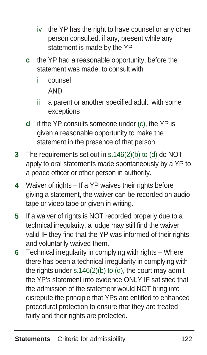- iv the YP has the right to have counsel or any other person consulted, if any, present while any statement is made by the YP
- **c** the YP had a reasonable opportunity, before the statement was made, to consult with
	- i counsel

AND

- ii a parent or another specified adult, with some exceptions
- **d** if the YP consults someone under (c), the YP is given a reasonable opportunity to make the statement in the presence of that person
- **3** The requirements set out in s.146(2)(b) to (d) do NOT apply to oral statements made spontaneously by a YP to a peace officer or other person in authority.
- **4** Waiver of rights If a YP waives their rights before giving a statement, the waiver can be recorded on audio tape or video tape or given in writing.
- **5** If a waiver of rights is NOT recorded properly due to a technical irregularity, a judge may still find the waiver valid IF they find that the YP was informed of their rights and voluntarily waived them.
- **6** Technical irregularity in complying with rights Where there has been a technical irregularity in complying with the rights under  $s.146(2)(b)$  to (d), the court may admit the YP's statement into evidence ONLY IF satisfied that the admission of the statement would NOT bring into disrepute the principle that YPs are entitled to enhanced procedural protection to ensure that they are treated fairly and their rights are protected.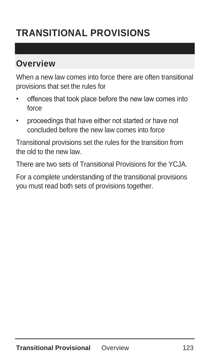# **TRANSITIONAL PROVISIONS**

### **Overview**

When a new law comes into force there are often transitional provisions that set the rules for

- offences that took place before the new law comes into force
- proceedings that have either not started or have not concluded before the new law comes into force

Transitional provisions set the rules for the transition from the old to the new law.

There are two sets of Transitional Provisions for the YCJA.

For a complete understanding of the transitional provisions you must read both sets of provisions together.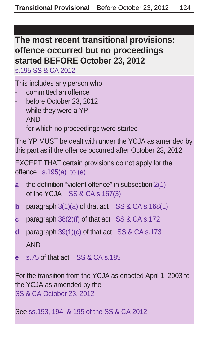#### **The most recent transitional provisions: offence occurred but no proceedings started BEFORE October 23, 2012**

s.195 SS & CA 2012

This includes any person who

- committed an offence
- before October 23, 2012
- while they were a YP AND
- for which no proceedings were started

The YP MUST be dealt with under the YCJA as amended by this part as if the offence occurred after October 23, 2012

```
EXCEPT THAT certain provisions do not apply for the
offence s.195(a) to (e)
```
- **a** the definition "violent offence" in subsection 2(1) of the YCJA SS & CA s.167(3)
- **b** paragraph 3(1)(a) of that act SS & CA s.168(1)
- **c** paragraph 38(2)(f) of that act SS & CA s.172
- **d** paragraph 39(1)(c) of that act SS & CA s.173 AND
- **e** s.75 of that act SS & CA s.185

For the transition from the YCJA as enacted April 1, 2003 to the YCJA as amended by the SS & CA October 23, 2012

See ss.193, 194 & 195 of the SS & CA 2012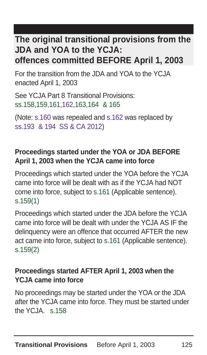#### **The original transitional provisions from the JDA and YOA to the YCJA: offences committed BEFORE April 1, 2003**

For the transition from the JDA and YOA to the YCJA enacted April 1, 2003

See YCJA Part 8 Transitional Provisions: ss.158,159,161,162,163,164 & 165

(Note: s.160 was repealed and s.162 was replaced by ss.193 & 194 SS & CA 2012)

#### **Proceedings started under the YOA or JDA BEFORE April 1, 2003 when the YCJA came into force**

Proceedings which started under the YOA before the YCJA came into force will be dealt with as if the YCJA had NOT come into force, subject to s.161 (Applicable sentence). s.159(1)

Proceedings which started under the JDA before the YCJA came into force will be dealt with under the YCJA AS IF the delinquency were an offence that occurred AFTER the new act came into force, subject to s.161 (Applicable sentence). s.159(2)

#### **Proceedings started AFTER April 1, 2003 when the YCJA came into force**

No proceedings may be started under the YOA or the JDA after the YCJA came into force. They must be started under the  $YC, IA$ . s. 158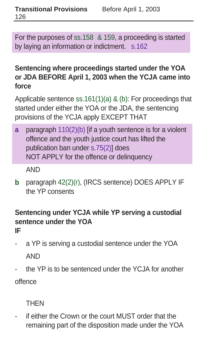For the purposes of ss.158 & 159, a proceeding is started by laying an information or indictment. s.162

#### **Sentencing where proceedings started under the YOA or JDA BEFORE April 1, 2003 when the YCJA came into force**

Applicable sentence ss.161(1)(a) & (b): For proceedings that started under either the YOA or the JDA, the sentencing provisions of the YCJA apply EXCEPT THAT

**a** paragraph 110(2)(b) [if a youth sentence is for a violent offence and the youth justice court has lifted the publication ban under s.75(2)] does NOT APPLY for the offence or delinquency

AND

**b** paragraph 42(2)(r), (IRCS sentence) DOES APPLY IF the YP consents

#### **Sentencing under YCJA while YP serving a custodial sentence under the YOA IF**

- a YP is serving a custodial sentence under the YOA AND
- the YP is to be sentenced under the YCJA for another

offence

**THEN** 

if either the Crown or the court MUST order that the remaining part of the disposition made under the YOA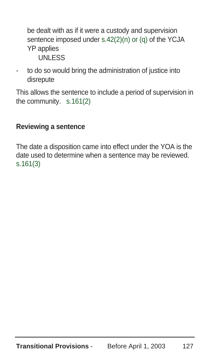be dealt with as if it were a custody and supervision sentence imposed under s.42(2)(n) or (q) of the YCJA YP applies UNLESS

to do so would bring the administration of justice into disrepute

This allows the sentence to include a period of supervision in the community. s.161(2)

#### **Reviewing a sentence**

The date a disposition came into effect under the YOA is the date used to determine when a sentence may be reviewed. s.161(3)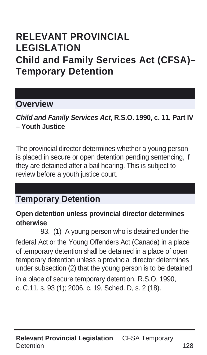### **RELEVANT PROVINCIAL LEGISLATION Child and Family Services Act (CFSA)– Temporary Detention**

#### **Overview**

**Child and Family Services Act, R.S.O. 1990, c. 11, Part IV – Youth Justice** 

The provincial director determines whether a young person is placed in secure or open detention pending sentencing, if they are detained after a bail hearing. This is subject to review before a youth justice court.

#### **Temporary Detention**

#### **Open detention unless provincial director determines otherwise**

93. (1) A young person who is detained under the federal Act or the Young Offenders Act (Canada) in a place of temporary detention shall be detained in a place of open temporary detention unless a provincial director determines under subsection (2) that the young person is to be detained

in a place of secure temporary detention. R.S.O. 1990, c. C.11, s. 93 (1); 2006, c. 19, Sched. D, s. 2 (18).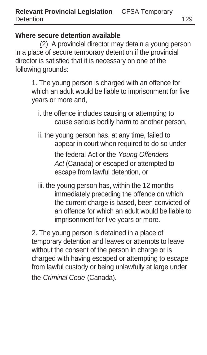#### **Where secure detention available**

(2) A provincial director may detain a young person in a place of secure temporary detention if the provincial director is satisfied that it is necessary on one of the following grounds:

1. The young person is charged with an offence for which an adult would be liable to imprisonment for five years or more and,

- i. the offence includes causing or attempting to cause serious bodily harm to another person,
- ii. the young person has, at any time, failed to appear in court when required to do so under the federal Act or the Young Offenders Act (Canada) or escaped or attempted to escape from lawful detention, or
- iii. the young person has, within the 12 months immediately preceding the offence on which the current charge is based, been convicted of an offence for which an adult would be liable to imprisonment for five years or more.

2. The young person is detained in a place of temporary detention and leaves or attempts to leave without the consent of the person in charge or is charged with having escaped or attempting to escape from lawful custody or being unlawfully at large under the Criminal Code (Canada).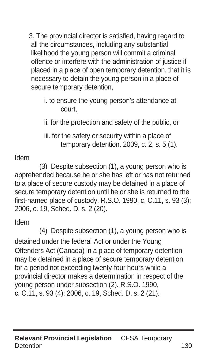3. The provincial director is satisfied, having regard to all the circumstances, including any substantial likelihood the young person will commit a criminal offence or interfere with the administration of justice if placed in a place of open temporary detention, that it is necessary to detain the young person in a place of secure temporary detention,

i. to ensure the young person's attendance at court,

ii. for the protection and safety of the public, or

iii. for the safety or security within a place of temporary detention. 2009, c. 2, s. 5 (1).

#### Idem

(3) Despite subsection (1), a young person who is apprehended because he or she has left or has not returned to a place of secure custody may be detained in a place of secure temporary detention until he or she is returned to the first-named place of custody. R.S.O. 1990, c. C.11, s. 93 (3); 2006, c. 19, Sched. D, s. 2 (20).

Idem

(4) Despite subsection (1), a young person who is detained under the federal Act or under the Young Offenders Act (Canada) in a place of temporary detention may be detained in a place of secure temporary detention for a period not exceeding twenty-four hours while a provincial director makes a determination in respect of the young person under subsection (2). R.S.O. 1990, c. C.11, s. 93 (4); 2006, c. 19, Sched. D, s. 2 (21).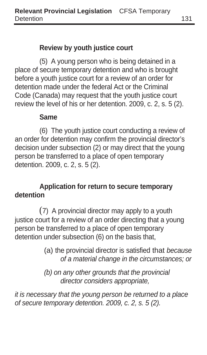#### **Review by youth justice court**

(5) A young person who is being detained in a place of secure temporary detention and who is brought before a youth justice court for a review of an order for detention made under the federal Act or the Criminal Code (Canada) may request that the youth justice court review the level of his or her detention. 2009, c. 2, s. 5 (2).

#### **Same**

(6) The youth justice court conducting a review of an order for detention may confirm the provincial director's decision under subsection (2) or may direct that the young person be transferred to a place of open temporary detention. 2009, c. 2, s. 5 (2).

#### **Application for return to secure temporary detention**

(7) A provincial director may apply to a youth justice court for a review of an order directing that a young person be transferred to a place of open temporary detention under subsection (6) on the basis that,

- (a) the provincial director is satisfied that because of a material change in the circumstances; or
- (b) on any other grounds that the provincial director considers appropriate,

it is necessary that the young person be returned to a place of secure temporary detention. 2009, c. 2, s. 5 (2).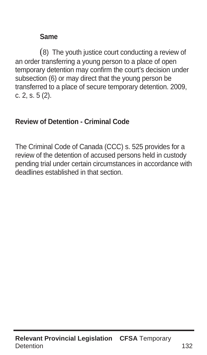#### **Same**

(8) The youth justice court conducting a review of an order transferring a young person to a place of open temporary detention may confirm the court's decision under subsection (6) or may direct that the young person be transferred to a place of secure temporary detention. 2009, c. 2, s. 5 (2).

#### **Review of Detention - Criminal Code**

The Criminal Code of Canada (CCC) s. 525 provides for a review of the detention of accused persons held in custody pending trial under certain circumstances in accordance with deadlines established in that section.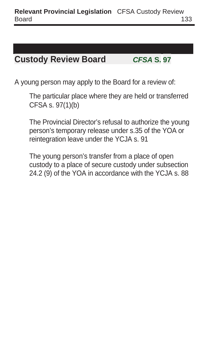### **Custody Review Board CFSA S. 97**

A young person may apply to the Board for a review of:

The particular place where they are held or transferred CFSA s. 97(1)(b)

The Provincial Director's refusal to authorize the young person's temporary release under s.35 of the YOA or reintegration leave under the YCJA s. 91

The young person's transfer from a place of open custody to a place of secure custody under subsection 24.2 (9) of the YOA in accordance with the YCJA s. 88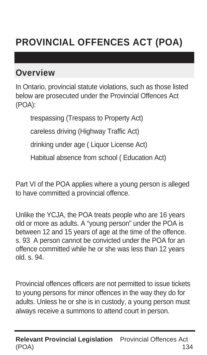# **PROVINCIAL OFFENCES ACT (POA)**

#### **Overview**

In Ontario, provincial statute violations, such as those listed below are prosecuted under the Provincial Offences Act (POA):

trespassing (Trespass to Property Act)

careless driving (Highway Traffic Act)

drinking under age ( Liquor License Act)

Habitual absence from school ( Education Act)

Part VI of the POA applies where a young person is alleged to have committed a provincial offence.

Unlike the YCJA, the POA treats people who are 16 years old or more as adults. A "young person" under the POA is between 12 and 15 years of age at the time of the offence. s. 93 A person cannot be convicted under the POA for an offence committed while he or she was less than 12 years old. s. 94.

Provincial offences officers are not permitted to issue tickets to young persons for minor offences in the way they do for adults. Unless he or she is in custody, a young person must always receive a summons to attend court in person.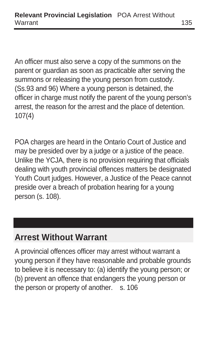An officer must also serve a copy of the summons on the parent or guardian as soon as practicable after serving the summons or releasing the young person from custody. (Ss.93 and 96) Where a young person is detained, the officer in charge must notify the parent of the young person's arrest, the reason for the arrest and the place of detention. 107(4)

POA charges are heard in the Ontario Court of Justice and may be presided over by a judge or a justice of the peace. Unlike the YCJA, there is no provision requiring that officials dealing with youth provincial offences matters be designated Youth Court judges. However, a Justice of the Peace cannot preside over a breach of probation hearing for a young person (s. 108).

## **Arrest Without Warrant**

A provincial offences officer may arrest without warrant a young person if they have reasonable and probable grounds to believe it is necessary to: (a) identify the young person; or (b) prevent an offence that endangers the young person or the person or property of another. s. 106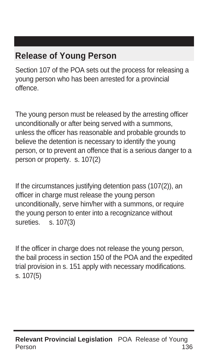## **Release of Young Person**

Section 107 of the POA sets out the process for releasing a young person who has been arrested for a provincial offence.

The young person must be released by the arresting officer unconditionally or after being served with a summons, unless the officer has reasonable and probable grounds to believe the detention is necessary to identify the young person, or to prevent an offence that is a serious danger to a person or property. s. 107(2)

If the circumstances justifying detention pass (107(2)), an officer in charge must release the young person unconditionally, serve him/her with a summons, or require the young person to enter into a recognizance without sureties. s. 107(3)

If the officer in charge does not release the young person, the bail process in section 150 of the POA and the expedited trial provision in s. 151 apply with necessary modifications. s. 107(5)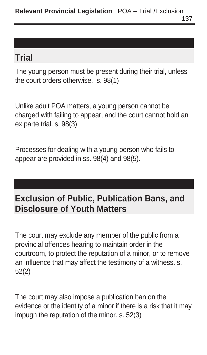## **Trial**

The young person must be present during their trial, unless the court orders otherwise. s. 98(1)

Unlike adult POA matters, a young person cannot be charged with failing to appear, and the court cannot hold an ex parte trial. s. 98(3)

Processes for dealing with a young person who fails to appear are provided in ss. 98(4) and 98(5).

## **Exclusion of Public, Publication Bans, and Disclosure of Youth Matters**

The court may exclude any member of the public from a provincial offences hearing to maintain order in the courtroom, to protect the reputation of a minor, or to remove an influence that may affect the testimony of a witness. s. 52(2)

The court may also impose a publication ban on the evidence or the identity of a minor if there is a risk that it may impugn the reputation of the minor. s. 52(3)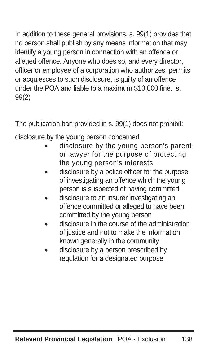In addition to these general provisions, s. 99(1) provides that no person shall publish by any means information that may identify a young person in connection with an offence or alleged offence. Anyone who does so, and every director, officer or employee of a corporation who authorizes, permits or acquiesces to such disclosure, is guilty of an offence under the POA and liable to a maximum \$10,000 fine. s. 99(2)

The publication ban provided in s. 99(1) does not prohibit:

disclosure by the young person concerned

- disclosure by the young person's parent or lawyer for the purpose of protecting the young person's interests
- disclosure by a police officer for the purpose of investigating an offence which the young person is suspected of having committed
- disclosure to an insurer investigating an offence committed or alleged to have been committed by the young person
- disclosure in the course of the administration of justice and not to make the information known generally in the community
- disclosure by a person prescribed by regulation for a designated purpose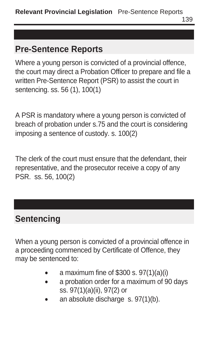### **Pre-Sentence Reports**

Where a young person is convicted of a provincial offence, the court may direct a Probation Officer to prepare and file a written Pre-Sentence Report (PSR) to assist the court in sentencing. ss. 56 (1), 100(1)

A PSR is mandatory where a young person is convicted of breach of probation under s.75 and the court is considering imposing a sentence of custody. s. 100(2)

The clerk of the court must ensure that the defendant, their representative, and the prosecutor receive a copy of any PSR. ss. 56, 100(2)

## **Sentencing**

When a young person is convicted of a provincial offence in a proceeding commenced by Certificate of Offence, they may be sentenced to:

- a maximum fine of \$300 s. 97(1)(a)(i)
- a probation order for a maximum of 90 days ss. 97(1)(a)(ii), 97(2) or
- an absolute discharge s. 97(1)(b).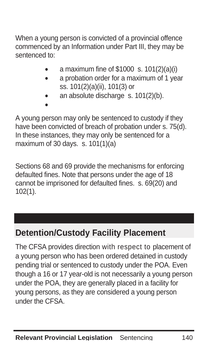When a young person is convicted of a provincial offence commenced by an Information under Part III, they may be sentenced to:

- a maximum fine of \$1000 s. 101(2)(a)(i)
- a probation order for a maximum of 1 year ss. 101(2)(a)(ii), 101(3) or
- an absolute discharge s. 101(2)(b).

A young person may only be sentenced to custody if they have been convicted of breach of probation under s. 75(d). In these instances, they may only be sentenced for a maximum of 30 days. s. 101(1)(a)

•

Sections 68 and 69 provide the mechanisms for enforcing defaulted fines. Note that persons under the age of 18 cannot be imprisoned for defaulted fines. s. 69(20) and 102(1).

## **Detention/Custody Facility Placement**

The CFSA provides direction with respect to placement of a young person who has been ordered detained in custody pending trial or sentenced to custody under the POA. Even though a 16 or 17 year-old is not necessarily a young person under the POA, they are generally placed in a facility for young persons, as they are considered a young person under the CFSA.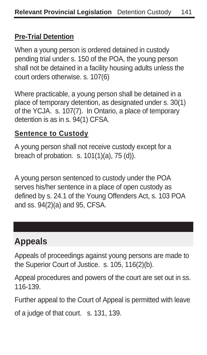#### **Pre-Trial Detention**

When a young person is ordered detained in custody pending trial under s. 150 of the POA, the young person shall not be detained in a facility housing adults unless the court orders otherwise. s. 107(6)

Where practicable, a young person shall be detained in a place of temporary detention, as designated under s. 30(1) of the YCJA. s. 107(7). In Ontario, a place of temporary detention is as in s. 94(1) CFSA.

#### **Sentence to Custody**

A young person shall not receive custody except for a breach of probation. s. 101(1)(a), 75 (d)).

A young person sentenced to custody under the POA serves his/her sentence in a place of open custody as defined by s. 24.1 of the Young Offenders Act, s. 103 POA and ss. 94(2)(a) and 95, CFSA.

## **Appeals**

Appeals of proceedings against young persons are made to the Superior Court of Justice. s. 105, 116(2)(b).

Appeal procedures and powers of the court are set out in ss. 116-139.

Further appeal to the Court of Appeal is permitted with leave

of a judge of that court. s. 131, 139.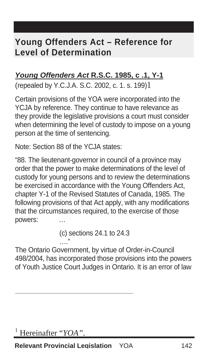### **Young Offenders Act – Reference for Level of Determination**

#### **Young Offenders Act R.S.C. 1985, c .1, Y-1**

(repealed by Y.C.J.A. S.C. 2002, c. 1. s. 199)1

Certain provisions of the YOA were incorporated into the YCJA by reference. They continue to have relevance as they provide the legislative provisions a court must consider when determining the level of custody to impose on a young person at the time of sentencing.

Note: Section 88 of the YCJA states:

"88. The lieutenant-governor in council of a province may order that the power to make determinations of the level of custody for young persons and to review the determinations be exercised in accordance with the Young Offenders Act, chapter Y-1 of the Revised Statutes of Canada, 1985. The following provisions of that Act apply, with any modifications that the circumstances required, to the exercise of those powers:

> (c) sections 24.1 to 24.3 …"

The Ontario Government, by virtue of Order-in-Council 498/2004, has incorporated those provisions into the powers of Youth Justice Court Judges in Ontario. It is an error of law

 $\overline{a}$ 

**Relevant Provincial Legislation** YOA 142

<sup>1</sup> Hereinafter "*YOA"*.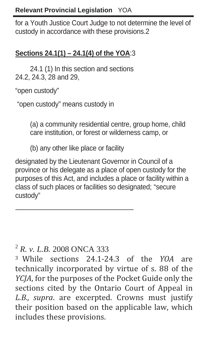for a Youth Justice Court Judge to not determine the level of custody in accordance with these provisions.2

#### **Sections 24.1(1) – 24.1(4) of the YOA**:3

24.1 (1) In this section and sections 24.2, 24.3, 28 and 29,

"open custody"

 $\overline{a}$ 

"open custody" means custody in

(a) a community residential centre, group home, child care institution, or forest or wilderness camp, or

(b) any other like place or facility

designated by the Lieutenant Governor in Council of a province or his delegate as a place of open custody for the purposes of this Act, and includes a place or facility within a class of such places or facilities so designated; "secure custody"

<sup>2</sup> *R. v. L.B.* 2008 ONCA 333

<sup>3</sup> While sections 24.1‐24.3 of the *YOA* are technically incorporated by virtue of s. 88 of the *YCJA*, for the purposes of the Pocket Guide only the sections cited by the Ontario Court of Appeal in *L.B., supra*. are excerpted. Crowns must justify their position based on the applicable law, which includes these provisions.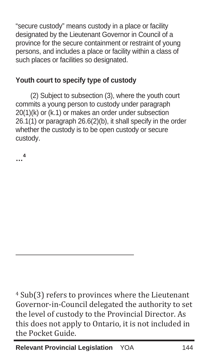"secure custody" means custody in a place or facility designated by the Lieutenant Governor in Council of a province for the secure containment or restraint of young persons, and includes a place or facility within a class of such places or facilities so designated.

#### **Youth court to specify type of custody**

(2) Subject to subsection (3), where the youth court commits a young person to custody under paragraph 20(1)(k) or (k.1) or makes an order under subsection 26.1(1) or paragraph 26.6(2)(b), it shall specify in the order whether the custody is to be open custody or secure custody.

**…<sup>4</sup>**

 $\overline{a}$ 

4 Sub(3) refers to provinces where the Lieutenant Governor‐in‐Council delegated the authority to set the level of custody to the Provincial Director. As this does not apply to Ontario, it is not included in the Pocket Guide.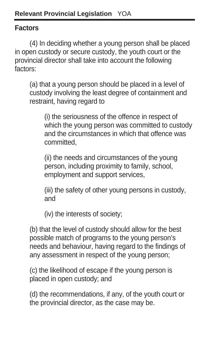#### **Factors**

(4) In deciding whether a young person shall be placed in open custody or secure custody, the youth court or the provincial director shall take into account the following factors:

(a) that a young person should be placed in a level of custody involving the least degree of containment and restraint, having regard to

(i) the seriousness of the offence in respect of which the young person was committed to custody and the circumstances in which that offence was committed,

(ii) the needs and circumstances of the young person, including proximity to family, school, employment and support services,

(iii) the safety of other young persons in custody, and

(iv) the interests of society;

(b) that the level of custody should allow for the best possible match of programs to the young person's needs and behaviour, having regard to the findings of any assessment in respect of the young person;

(c) the likelihood of escape if the young person is placed in open custody; and

(d) the recommendations, if any, of the youth court or the provincial director, as the case may be.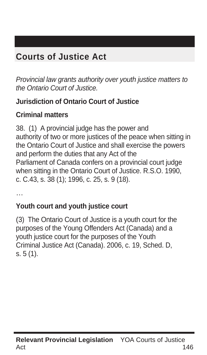## **Courts of Justice Act**

Provincial law grants authority over youth justice matters to the Ontario Court of Justice.

#### **Jurisdiction of Ontario Court of Justice**

#### **Criminal matters**

38. (1) A provincial judge has the power and authority of two or more justices of the peace when sitting in the Ontario Court of Justice and shall exercise the powers and perform the duties that any Act of the Parliament of Canada confers on a provincial court judge when sitting in the Ontario Court of Justice. R.S.O. 1990, c. C.43, s. 38 (1); 1996, c. 25, s. 9 (18).

…

#### **Youth court and youth justice court**

(3) The Ontario Court of Justice is a youth court for the purposes of the Young Offenders Act (Canada) and a youth justice court for the purposes of the Youth Criminal Justice Act (Canada). 2006, c. 19, Sched. D, s. 5 (1).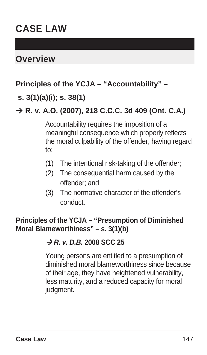## **CASE LAW**

### **Overview**

#### **Principles of the YCJA – "Accountability" –**

#### **s. 3(1)(a)(i); s. 38(1)**

#### Æ **R. v. A.O. (2007), 218 C.C.C. 3d 409 (Ont. C.A.)**

Accountability requires the imposition of a meaningful consequence which properly reflects the moral culpability of the offender, having regard to:

- (1) The intentional risk-taking of the offender;
- (2) The consequential harm caused by the offender; and
- (3) The normative character of the offender's conduct.

#### **Principles of the YCJA – "Presumption of Diminished Moral Blameworthiness" – s. 3(1)(b)**

#### Æ **R. v. D.B. 2008 SCC 25**

Young persons are entitled to a presumption of diminished moral blameworthiness since because of their age, they have heightened vulnerability, less maturity, and a reduced capacity for moral judament.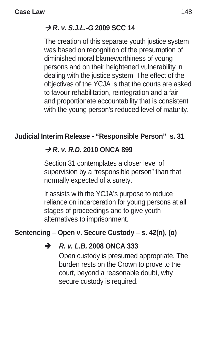### **R. v. S.J.L.-G 2009 SCC 14**

The creation of this separate youth justice system was based on recognition of the presumption of diminished moral blameworthiness of young persons and on their heightened vulnerability in dealing with the justice system. The effect of the objectives of the YCJA is that the courts are asked to favour rehabilitation, reintegration and a fair and proportionate accountability that is consistent with the young person's reduced level of maturity.

#### **Judicial Interim Release - "Responsible Person" s. 31**

#### $\rightarrow$  **R. v. R.D. 2010 ONCA 899**

Section 31 contemplates a closer level of supervision by a "responsible person" than that normally expected of a surety.

It assists with the YCJA's purpose to reduce reliance on incarceration for young persons at all stages of proceedings and to give youth alternatives to imprisonment.

#### **Sentencing – Open v. Secure Custody – s. 42(n), (o)**

#### **R. v. L.B. 2008 ONCA 333**

Open custody is presumed appropriate. The burden rests on the Crown to prove to the court, beyond a reasonable doubt, why secure custody is required.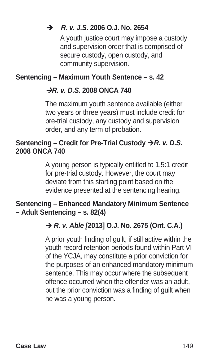#### **R. v. J.S. 2006 O.J. No. 2654**

A youth justice court may impose a custody and supervision order that is comprised of secure custody, open custody, and community supervision.

#### **Sentencing – Maximum Youth Sentence – s. 42**

#### **R. v. D.S. 2008 ONCA 740**

The maximum youth sentence available (either two years or three years) must include credit for pre-trial custody, any custody and supervision order, and any term of probation.

#### **Sentencing – Credit for Pre-Trial Custody**  $\rightarrow R$ **. v. D.S. 2008 ONCA 740**

A young person is typically entitled to 1.5:1 credit for pre-trial custody. However, the court may deviate from this starting point based on the evidence presented at the sentencing hearing.

#### **Sentencing – Enhanced Mandatory Minimum Sentence – Adult Sentencing – s. 82(4)**

#### → R. v. Able [2013] O.J. No. 2675 (Ont. C.A.)

A prior youth finding of guilt, if still active within the youth record retention periods found within Part VI of the YCJA, may constitute a prior conviction for the purposes of an enhanced mandatory minimum sentence. This may occur where the subsequent offence occurred when the offender was an adult, but the prior conviction was a finding of guilt when he was a young person.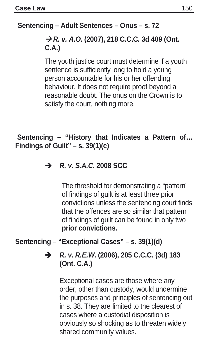#### **Sentencing – Adult Sentences – Onus – s. 72**

#### **→ R. v. A.O.** (2007), 218 C.C.C. 3d 409 (Ont. **C.A.)**

The youth justice court must determine if a youth sentence is sufficiently long to hold a young person accountable for his or her offending behaviour. It does not require proof beyond a reasonable doubt. The onus on the Crown is to satisfy the court, nothing more.

#### **Sentencing – "History that Indicates a Pattern of… Findings of Guilt" – s. 39(1)(c)**

#### **R. v. S.A.C. 2008 SCC**

The threshold for demonstrating a "pattern" of findings of guilt is at least three prior convictions unless the sentencing court finds that the offences are so similar that pattern of findings of guilt can be found in only two **prior convictions.** 

#### **Sentencing – "Exceptional Cases" – s. 39(1)(d)**

#### **R. v. R.E.W. (2006), 205 C.C.C. (3d) 183**  $\rightarrow$ **(Ont. C.A.)**

Exceptional cases are those where any order, other than custody, would undermine the purposes and principles of sentencing out in s. 38. They are limited to the clearest of cases where a custodial disposition is obviously so shocking as to threaten widely shared community values.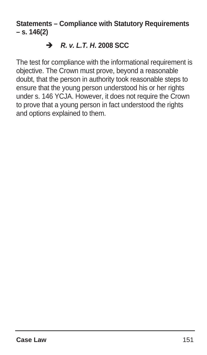**Statements – Compliance with Statutory Requirements – s. 146(2)** 

#### $\rightarrow$  **R. v. L.T. H. 2008 SCC**

The test for compliance with the informational requirement is objective. The Crown must prove, beyond a reasonable doubt, that the person in authority took reasonable steps to ensure that the young person understood his or her rights under s. 146 YCJA. However, it does not require the Crown to prove that a young person in fact understood the rights and options explained to them.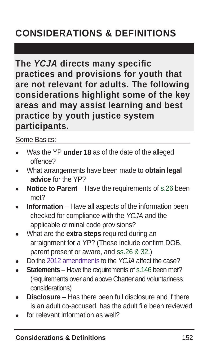# **CONSIDERATIONS & DEFINITIONS**

**The YCJA directs many specific practices and provisions for youth that are not relevant for adults. The following considerations highlight some of the key areas and may assist learning and best practice by youth justice system participants.** 

Some Basics:

- Was the YP **under 18** as of the date of the alleged offence?
- What arrangements have been made to **obtain legal advice** for the YP?
- **Notice to Parent** Have the requirements of s.26 been met?
- **Information** Have all aspects of the information been checked for compliance with the YCJA and the applicable criminal code provisions?
- What are the **extra steps** required during an arraignment for a YP? (These include confirm DOB, parent present or aware, and ss.26 & 32.)
- Do the 2012 amendments to the YCJA affect the case?
- **Statements** Have the requirements of s.146 been met? (requirements over and above Charter and voluntariness considerations)
- **Disclosure** Has there been full disclosure and if there is an adult co-accused, has the adult file been reviewed
- for relevant information as well?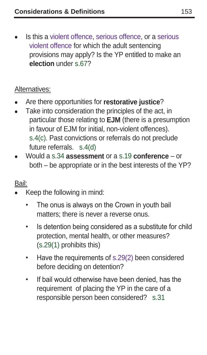Is this a violent offence, serious offence, or a serious violent offence for which the adult sentencing provisions may apply? Is the YP entitled to make an **election** under s.67?

#### Alternatives:

- Are there opportunities for **restorative justice**?
- Take into consideration the principles of the act, in particular those relating to **EJM** (there is a presumption in favour of EJM for initial, non-violent offences). s.4(c). Past convictions or referrals do not preclude future referrals. s.4(d)
- Would a s.34 **assessment** or a s.19 **conference**  or both – be appropriate or in the best interests of the YP?

#### Bail:

- Keep the following in mind:
	- The onus is always on the Crown in youth bail matters; there is never a reverse onus.
	- Is detention being considered as a substitute for child protection, mental health, or other measures? (s.29(1) prohibits this)
	- Have the requirements of s.29(2) been considered before deciding on detention?
	- If bail would otherwise have been denied, has the requirement of placing the YP in the care of a responsible person been considered? s.31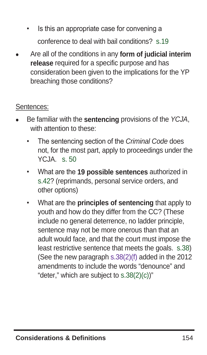- Is this an appropriate case for convening a conference to deal with bail conditions? s.19
- Are all of the conditions in any **form of judicial interim release** required for a specific purpose and has consideration been given to the implications for the YP breaching those conditions?

#### Sentences:

- Be familiar with the **sentencing** provisions of the YCJA, with attention to these:
	- The sentencing section of the Criminal Code does not, for the most part, apply to proceedings under the YCJA. s. 50
	- What are the **19 possible sentences** authorized in s.42? (reprimands, personal service orders, and other options)
	- What are the **principles of sentencing** that apply to youth and how do they differ from the CC? (These include no general deterrence, no ladder principle, sentence may not be more onerous than that an adult would face, and that the court must impose the least restrictive sentence that meets the goals. s.38) (See the new paragraph s.38(2)(f) added in the 2012 amendments to include the words "denounce" and "deter," which are subject to  $s.38(2)(c)$ "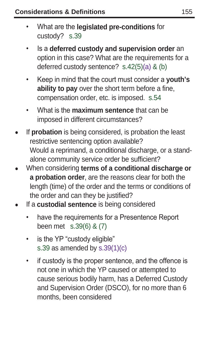- What are the **legislated pre-conditions** for custody? s.39
- Is a **deferred custody and supervision order** an option in this case? What are the requirements for a deferred custody sentence? s.42(5)(a) & (b)
- Keep in mind that the court must consider a **youth's ability to pay** over the short term before a fine, compensation order, etc. is imposed. s.54
- What is the **maximum sentence** that can be imposed in different circumstances?
- If **probation** is being considered, is probation the least restrictive sentencing option available? Would a reprimand, a conditional discharge, or a standalone community service order be sufficient?
- When considering **terms of a conditional discharge or a probation order**, are the reasons clear for both the length (time) of the order and the terms or conditions of the order and can they be justified?
- If a **custodial sentence** is being considered
	- have the requirements for a Presentence Report been met s.39(6) & (7)
	- is the YP "custody eligible" s.39 as amended by s.39(1)(c)
	- if custody is the proper sentence, and the offence is not one in which the YP caused or attempted to cause serious bodily harm, has a Deferred Custody and Supervision Order (DSCO), for no more than 6 months, been considered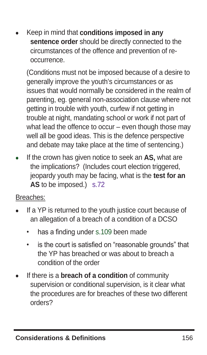• Keep in mind that **conditions imposed in any**  sentence order should be directly connected to the circumstances of the offence and prevention of reoccurrence.

 (Conditions must not be imposed because of a desire to generally improve the youth's circumstances or as issues that would normally be considered in the realm of parenting, eg. general non-association clause where not getting in trouble with youth, curfew if not getting in trouble at night, mandating school or work if not part of what lead the offence to occur – even though those may well all be good ideas. This is the defence perspective and debate may take place at the time of sentencing.)

• If the crown has given notice to seek an **AS,** what are the implications? (Includes court election triggered, jeopardy youth may be facing, what is the **test for an AS** to be imposed.) s.72

Breaches:

- If a YP is returned to the youth justice court because of an allegation of a breach of a condition of a DCSO
	- has a finding under s.109 been made
	- is the court is satisfied on "reasonable grounds" that the YP has breached or was about to breach a condition of the order
- If there is a **breach of a condition** of community supervision or conditional supervision, is it clear what the procedures are for breaches of these two different orders?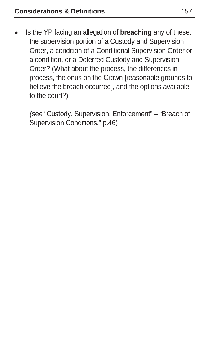• Is the YP facing an allegation of **breaching** any of these: the supervision portion of a Custody and Supervision Order, a condition of a Conditional Supervision Order or a condition, or a Deferred Custody and Supervision Order? (What about the process, the differences in process, the onus on the Crown [reasonable grounds to believe the breach occurred], and the options available to the court?)

(see "Custody, Supervision, Enforcement" – "Breach of Supervision Conditions," p.46)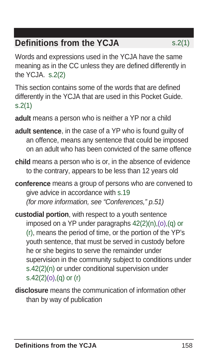## **Definitions from the YCJA** s.2(1)

Words and expressions used in the YCJA have the same meaning as in the CC unless they are defined differently in the YCJA. s.2(2)

This section contains some of the words that are defined differently in the YCJA that are used in this Pocket Guide. s.2(1)

**adult** means a person who is neither a YP nor a child

- **adult sentence**, in the case of a YP who is found guilty of an offence, means any sentence that could be imposed on an adult who has been convicted of the same offence
- **child** means a person who is or, in the absence of evidence to the contrary, appears to be less than 12 years old
- **conference** means a group of persons who are convened to give advice in accordance with s.19 (for more information, see "Conferences," p.51)
- **custodial portion**, with respect to a youth sentence imposed on a YP under paragraphs 42(2)(n),(o),(q) or (r), means the period of time, or the portion of the YP's youth sentence, that must be served in custody before he or she begins to serve the remainder under supervision in the community subject to conditions under s.42(2)(n) or under conditional supervision under s.42(2)(o),(q) or (r)
- **disclosure** means the communication of information other than by way of publication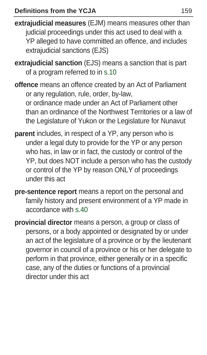- **extrajudicial measures** (EJM) means measures other than judicial proceedings under this act used to deal with a YP alleged to have committed an offence, and includes extrajudicial sanctions (EJS)
- **extrajudicial sanction** (EJS) means a sanction that is part of a program referred to in s.10
- **offence** means an offence created by an Act of Parliament or any regulation, rule, order, by-law, or ordinance made under an Act of Parliament other than an ordinance of the Northwest Territories or a law of the Legislature of Yukon or the Legislature for Nunavut
- **parent** includes, in respect of a YP, any person who is under a legal duty to provide for the YP or any person who has, in law or in fact, the custody or control of the YP, but does NOT include a person who has the custody or control of the YP by reason ONLY of proceedings under this act
- **pre-sentence report** means a report on the personal and family history and present environment of a YP made in accordance with s.40
- **provincial director** means a person, a group or class of persons, or a body appointed or designated by or under an act of the legislature of a province or by the lieutenant governor in council of a province or his or her delegate to perform in that province, either generally or in a specific case, any of the duties or functions of a provincial director under this act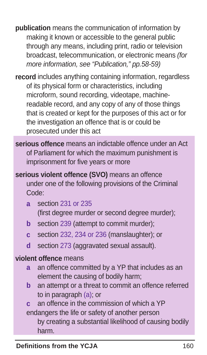- **publication** means the communication of information by making it known or accessible to the general public through any means, including print, radio or television broadcast, telecommunication, or electronic means (for more information, see "Publication," pp.58-59)
- **record** includes anything containing information, regardless of its physical form or characteristics, including microform, sound recording, videotape, machinereadable record, and any copy of any of those things that is created or kept for the purposes of this act or for the investigation an offence that is or could be prosecuted under this act
- **serious offence** means an indictable offence under an Act of Parliament for which the maximum punishment is imprisonment for five years or more
- **serious violent offence (SVO)** means an offence under one of the following provisions of the Criminal Code:
	- **a** section 231 or 235 (first degree murder or second degree murder);
	- **b** section 239 (attempt to commit murder);
	- **c** section 232, 234 or 236 (manslaughter); or
	- **d** section 273 (aggravated sexual assault).

#### **violent offence** means

- **a** an offence committed by a YP that includes as an element the causing of bodily harm;
- **b** an attempt or a threat to commit an offence referred to in paragraph (a); or

**c** an offence in the commission of which a YP endangers the life or safety of another person

by creating a substantial likelihood of causing bodily harm. **Definitions from the YCJA** 061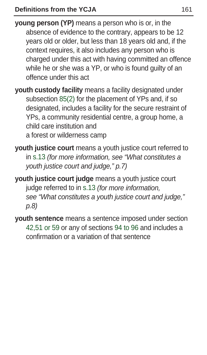- **young person (YP)** means a person who is or, in the absence of evidence to the contrary, appears to be 12 years old or older, but less than 18 years old and, if the context requires, it also includes any person who is charged under this act with having committed an offence while he or she was a YP, or who is found guilty of an offence under this act
- **youth custody facility** means a facility designated under subsection 85(2) for the placement of YPs and, if so designated, includes a facility for the secure restraint of YPs, a community residential centre, a group home, a child care institution and a forest or wilderness camp
- **youth justice court** means a youth justice court referred to in s.13 (for more information, see "What constitutes a youth justice court and judge," p.7)
- **youth justice court judge** means a youth justice court judge referred to in s.13 (for more information, see "What constitutes a youth justice court and judge," p.8)
- **youth sentence** means a sentence imposed under section 42,51 or 59 or any of sections 94 to 96 and includes a confirmation or a variation of that sentence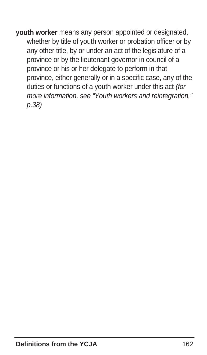**youth worker** means any person appointed or designated, whether by title of youth worker or probation officer or by any other title, by or under an act of the legislature of a province or by the lieutenant governor in council of a province or his or her delegate to perform in that province, either generally or in a specific case, any of the duties or functions of a youth worker under this act (for more information, see "Youth workers and reintegration," p.38)